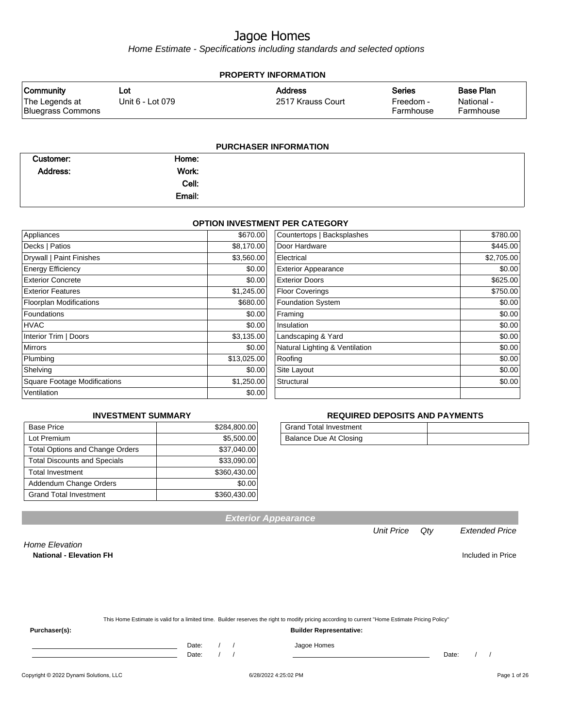Home Estimate - Specifications including standards and selected options

| <b>PROPERTY INFORMATION</b>                             |                         |                                     |                                         |                                             |  |
|---------------------------------------------------------|-------------------------|-------------------------------------|-----------------------------------------|---------------------------------------------|--|
| <b>Community</b><br>The Legends at<br>Bluegrass Commons | Lot<br>Unit 6 - Lot 079 | <b>Address</b><br>2517 Krauss Court | <b>Series</b><br>Freedom -<br>Farmhouse | <b>Base Plan</b><br>National -<br>Farmhouse |  |
|                                                         |                         |                                     |                                         |                                             |  |

| <b>PURCHASER INFORMATION</b> |  |  |
|------------------------------|--|--|
|------------------------------|--|--|

| Customer: | Home:  |  |
|-----------|--------|--|
| Address:  | Work:  |  |
|           | Cell:  |  |
|           | Email: |  |

#### **OPTION INVESTMENT PER CATEGORY**

| Appliances                     | \$670.00    | Countertops   Backsplashes     | \$780.00   |
|--------------------------------|-------------|--------------------------------|------------|
| Decks   Patios                 | \$8,170.00  | Door Hardware                  | \$445.00   |
| Drywall   Paint Finishes       | \$3,560.00  | Electrical                     | \$2,705.00 |
| <b>Energy Efficiency</b>       | \$0.00      | <b>Exterior Appearance</b>     | \$0.00     |
| <b>Exterior Concrete</b>       | \$0.00      | <b>Exterior Doors</b>          | \$625.00   |
| <b>Exterior Features</b>       | \$1,245.00  | <b>Floor Coverings</b>         | \$750.00   |
| <b>Floorplan Modifications</b> | \$680.00    | <b>Foundation System</b>       | \$0.00     |
| <b>Foundations</b>             | \$0.00      | Framing                        | \$0.00     |
| <b>HVAC</b>                    | \$0.00      | Insulation                     | \$0.00     |
| Interior Trim   Doors          | \$3,135.00  | Landscaping & Yard             | \$0.00     |
| <b>Mirrors</b>                 | \$0.00      | Natural Lighting & Ventilation | \$0.00     |
| Plumbing                       | \$13,025.00 | Roofing                        | \$0.00     |
| Shelving                       | \$0.00      | Site Layout                    | \$0.00     |
| Square Footage Modifications   | \$1,250.00  | Structural                     | \$0.00     |
| Ventilation                    | \$0.00      |                                |            |

#### **INVESTMENT SUMMARY**

| <b>Base Price</b>                      | \$284,800.00 |
|----------------------------------------|--------------|
| Lot Premium                            | \$5,500.00   |
| <b>Total Options and Change Orders</b> | \$37,040.00  |
| <b>Total Discounts and Specials</b>    | \$33,090.00  |
| <b>Total Investment</b>                | \$360,430.00 |
| Addendum Change Orders                 | \$0.00       |
| <b>Grand Total Investment</b>          | \$360,430.00 |

#### **REQUIRED DEPOSITS AND PAYMENTS**

| <b>Grand Total Investment</b> |  |
|-------------------------------|--|
| Balance Due At Closing        |  |

**Exterior Appearance**

#### Unit Price Qty Extended Price

Home Elevation **National - Elevation FH** Included in Price

| This Home Estimate is valid for a limited time. Builder reserves the right to modify pricing according to current "Home Estimate Pricing Policy" |  |  |  |  |
|--------------------------------------------------------------------------------------------------------------------------------------------------|--|--|--|--|
|                                                                                                                                                  |  |  |  |  |

**Purchaser(s): Builder Representative:**

Date: / / Jagoe Homes<br>Date: / / Jagoe Homes

Date: / / Date: / /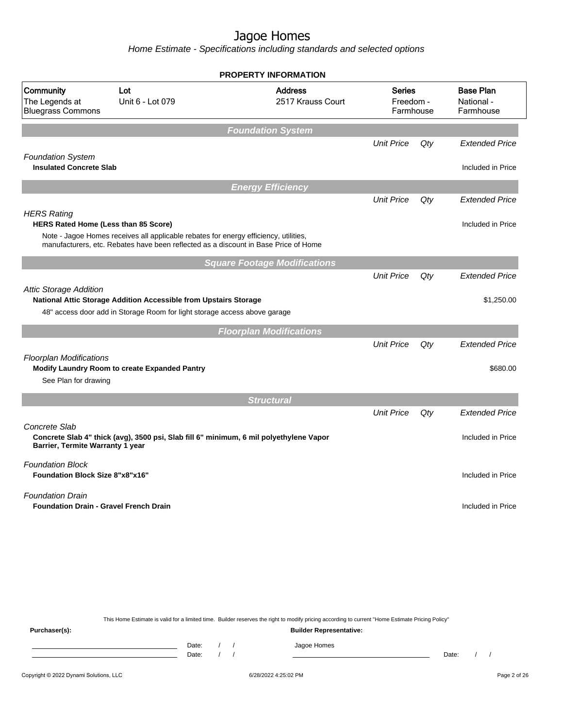Home Estimate - Specifications including standards and selected options

|                                                                   |                                                                                                                                                                             | <b>PROPERTY INFORMATION</b>         |                                         |     |                                             |
|-------------------------------------------------------------------|-----------------------------------------------------------------------------------------------------------------------------------------------------------------------------|-------------------------------------|-----------------------------------------|-----|---------------------------------------------|
| Community<br>The Legends at<br><b>Bluegrass Commons</b>           | Lot<br>Unit 6 - Lot 079                                                                                                                                                     | <b>Address</b><br>2517 Krauss Court | <b>Series</b><br>Freedom -<br>Farmhouse |     | <b>Base Plan</b><br>National -<br>Farmhouse |
|                                                                   |                                                                                                                                                                             | <b>Foundation System</b>            |                                         |     |                                             |
|                                                                   |                                                                                                                                                                             |                                     | <b>Unit Price</b>                       | Qty | <b>Extended Price</b>                       |
| <b>Foundation System</b><br><b>Insulated Concrete Slab</b>        |                                                                                                                                                                             |                                     |                                         |     | Included in Price                           |
|                                                                   |                                                                                                                                                                             | <b>Energy Efficiency</b>            |                                         |     |                                             |
|                                                                   |                                                                                                                                                                             |                                     | <b>Unit Price</b>                       | Qty | <b>Extended Price</b>                       |
| <b>HERS Rating</b>                                                | <b>HERS Rated Home (Less than 85 Score)</b>                                                                                                                                 |                                     |                                         |     | Included in Price                           |
|                                                                   | Note - Jagoe Homes receives all applicable rebates for energy efficiency, utilities,<br>manufacturers, etc. Rebates have been reflected as a discount in Base Price of Home |                                     |                                         |     |                                             |
|                                                                   |                                                                                                                                                                             | <b>Square Footage Modifications</b> |                                         |     |                                             |
|                                                                   |                                                                                                                                                                             |                                     | <b>Unit Price</b>                       | Qty | <b>Extended Price</b>                       |
| <b>Attic Storage Addition</b>                                     | National Attic Storage Addition Accessible from Upstairs Storage                                                                                                            |                                     |                                         |     | \$1,250.00                                  |
|                                                                   | 48" access door add in Storage Room for light storage access above garage                                                                                                   |                                     |                                         |     |                                             |
|                                                                   |                                                                                                                                                                             | <b>Floorplan Modifications</b>      |                                         |     |                                             |
|                                                                   |                                                                                                                                                                             |                                     | <b>Unit Price</b>                       | Qty | <b>Extended Price</b>                       |
| <b>Floorplan Modifications</b>                                    | Modify Laundry Room to create Expanded Pantry                                                                                                                               |                                     |                                         |     | \$680.00                                    |
| See Plan for drawing                                              |                                                                                                                                                                             |                                     |                                         |     |                                             |
|                                                                   |                                                                                                                                                                             | <b>Structural</b>                   |                                         |     |                                             |
|                                                                   |                                                                                                                                                                             |                                     | <b>Unit Price</b>                       | Qty | <b>Extended Price</b>                       |
| Concrete Slab<br>Barrier, Termite Warranty 1 year                 | Concrete Slab 4" thick (avg), 3500 psi, Slab fill 6" minimum, 6 mil polyethylene Vapor                                                                                      |                                     |                                         |     | Included in Price                           |
| <b>Foundation Block</b><br><b>Foundation Block Size 8"x8"x16"</b> |                                                                                                                                                                             |                                     |                                         |     | Included in Price                           |
| <b>Foundation Drain</b>                                           | <b>Foundation Drain - Gravel French Drain</b>                                                                                                                               |                                     |                                         |     | Included in Price                           |
|                                                                   |                                                                                                                                                                             |                                     |                                         |     |                                             |

This Home Estimate is valid for a limited time. Builder reserves the right to modify pricing according to current "Home Estimate Pricing Policy"

**Purchaser(s): Builder Representative:** Date: / / Jagoe Homes<br>Date: / / Jagoe Homes Date: / / Date: / /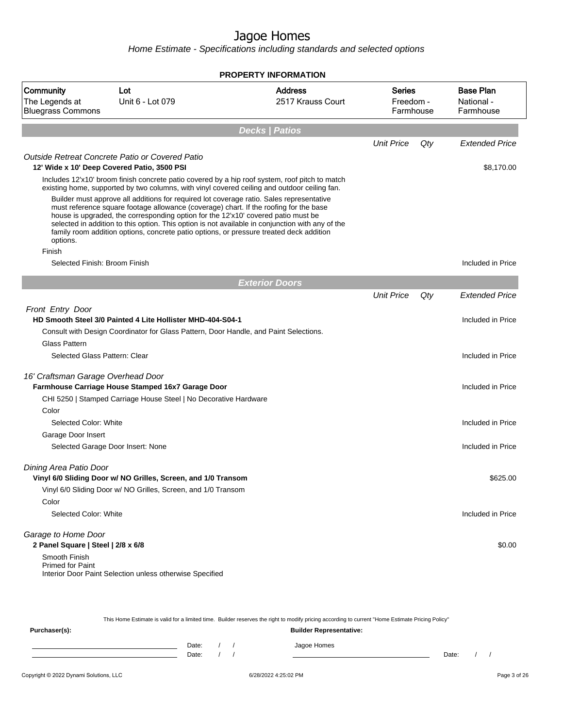| <b>PROPERTY INFORMATION</b>                                                                          |                                                                                                                                                                                                                                                                                                                                                                   |                                                                                                                                                                                                |                                         |     |                                             |
|------------------------------------------------------------------------------------------------------|-------------------------------------------------------------------------------------------------------------------------------------------------------------------------------------------------------------------------------------------------------------------------------------------------------------------------------------------------------------------|------------------------------------------------------------------------------------------------------------------------------------------------------------------------------------------------|-----------------------------------------|-----|---------------------------------------------|
| Community<br>Lot<br><b>Address</b><br>The Legends at<br>Unit 6 - Lot 079<br><b>Bluegrass Commons</b> |                                                                                                                                                                                                                                                                                                                                                                   | 2517 Krauss Court                                                                                                                                                                              | <b>Series</b><br>Freedom -<br>Farmhouse |     | <b>Base Plan</b><br>National -<br>Farmhouse |
|                                                                                                      |                                                                                                                                                                                                                                                                                                                                                                   | <b>Decks   Patios</b>                                                                                                                                                                          |                                         |     |                                             |
|                                                                                                      |                                                                                                                                                                                                                                                                                                                                                                   |                                                                                                                                                                                                | <b>Unit Price</b>                       | Qty | <b>Extended Price</b>                       |
|                                                                                                      | Outside Retreat Concrete Patio or Covered Patio                                                                                                                                                                                                                                                                                                                   |                                                                                                                                                                                                |                                         |     |                                             |
|                                                                                                      | 12' Wide x 10' Deep Covered Patio, 3500 PSI                                                                                                                                                                                                                                                                                                                       |                                                                                                                                                                                                |                                         |     | \$8,170.00                                  |
|                                                                                                      |                                                                                                                                                                                                                                                                                                                                                                   | Includes 12'x10' broom finish concrete patio covered by a hip roof system, roof pitch to match<br>existing home, supported by two columns, with vinyl covered ceiling and outdoor ceiling fan. |                                         |     |                                             |
| options.                                                                                             | Builder must approve all additions for required lot coverage ratio. Sales representative<br>must reference square footage allowance (coverage) chart. If the roofing for the base<br>house is upgraded, the corresponding option for the 12'x10' covered patio must be<br>family room addition options, concrete patio options, or pressure treated deck addition | selected in addition to this option. This option is not available in conjunction with any of the                                                                                               |                                         |     |                                             |
| Finish                                                                                               |                                                                                                                                                                                                                                                                                                                                                                   |                                                                                                                                                                                                |                                         |     |                                             |
| Selected Finish: Broom Finish                                                                        |                                                                                                                                                                                                                                                                                                                                                                   |                                                                                                                                                                                                |                                         |     | Included in Price                           |
|                                                                                                      |                                                                                                                                                                                                                                                                                                                                                                   | <b>Exterior Doors</b>                                                                                                                                                                          |                                         |     |                                             |
|                                                                                                      |                                                                                                                                                                                                                                                                                                                                                                   |                                                                                                                                                                                                | <b>Unit Price</b>                       | Qty | <b>Extended Price</b>                       |
| <b>Front Entry Door</b>                                                                              | HD Smooth Steel 3/0 Painted 4 Lite Hollister MHD-404-S04-1                                                                                                                                                                                                                                                                                                        |                                                                                                                                                                                                |                                         |     | Included in Price                           |
|                                                                                                      | Consult with Design Coordinator for Glass Pattern, Door Handle, and Paint Selections.                                                                                                                                                                                                                                                                             |                                                                                                                                                                                                |                                         |     |                                             |
| Glass Pattern                                                                                        |                                                                                                                                                                                                                                                                                                                                                                   |                                                                                                                                                                                                |                                         |     |                                             |
| Selected Glass Pattern: Clear                                                                        |                                                                                                                                                                                                                                                                                                                                                                   |                                                                                                                                                                                                |                                         |     | Included in Price                           |
| 16' Craftsman Garage Overhead Door                                                                   |                                                                                                                                                                                                                                                                                                                                                                   |                                                                                                                                                                                                |                                         |     |                                             |
|                                                                                                      | Farmhouse Carriage House Stamped 16x7 Garage Door                                                                                                                                                                                                                                                                                                                 |                                                                                                                                                                                                |                                         |     | Included in Price                           |
|                                                                                                      | CHI 5250   Stamped Carriage House Steel   No Decorative Hardware                                                                                                                                                                                                                                                                                                  |                                                                                                                                                                                                |                                         |     |                                             |
| Color                                                                                                |                                                                                                                                                                                                                                                                                                                                                                   |                                                                                                                                                                                                |                                         |     |                                             |
| Selected Color: White                                                                                |                                                                                                                                                                                                                                                                                                                                                                   |                                                                                                                                                                                                |                                         |     | Included in Price                           |
| Garage Door Insert                                                                                   |                                                                                                                                                                                                                                                                                                                                                                   |                                                                                                                                                                                                |                                         |     |                                             |
|                                                                                                      | Selected Garage Door Insert: None                                                                                                                                                                                                                                                                                                                                 |                                                                                                                                                                                                |                                         |     | Included in Price                           |
| Dining Area Patio Door                                                                               | Vinyl 6/0 Sliding Door w/ NO Grilles, Screen, and 1/0 Transom                                                                                                                                                                                                                                                                                                     |                                                                                                                                                                                                |                                         |     | \$625.00                                    |
|                                                                                                      | Vinyl 6/0 Sliding Door w/ NO Grilles, Screen, and 1/0 Transom                                                                                                                                                                                                                                                                                                     |                                                                                                                                                                                                |                                         |     |                                             |
| Color                                                                                                |                                                                                                                                                                                                                                                                                                                                                                   |                                                                                                                                                                                                |                                         |     |                                             |
| Selected Color: White                                                                                |                                                                                                                                                                                                                                                                                                                                                                   |                                                                                                                                                                                                |                                         |     | Included in Price                           |
| Garage to Home Door<br>2 Panel Square   Steel   2/8 x 6/8                                            |                                                                                                                                                                                                                                                                                                                                                                   |                                                                                                                                                                                                |                                         |     | \$0.00                                      |
| Smooth Finish<br><b>Primed for Paint</b>                                                             | Interior Door Paint Selection unless otherwise Specified                                                                                                                                                                                                                                                                                                          |                                                                                                                                                                                                |                                         |     |                                             |

| This Home Estimate is valid for a limited time. Builder reserves the right to modify pricing according to current "Home Estimate Pricing Policy" |  |       |  |  |                                |       |  |  |
|--------------------------------------------------------------------------------------------------------------------------------------------------|--|-------|--|--|--------------------------------|-------|--|--|
| Purchaser(s):                                                                                                                                    |  |       |  |  | <b>Builder Representative:</b> |       |  |  |
|                                                                                                                                                  |  | Date: |  |  | Jagoe Homes                    |       |  |  |
|                                                                                                                                                  |  | Date: |  |  |                                | Date: |  |  |
|                                                                                                                                                  |  |       |  |  |                                |       |  |  |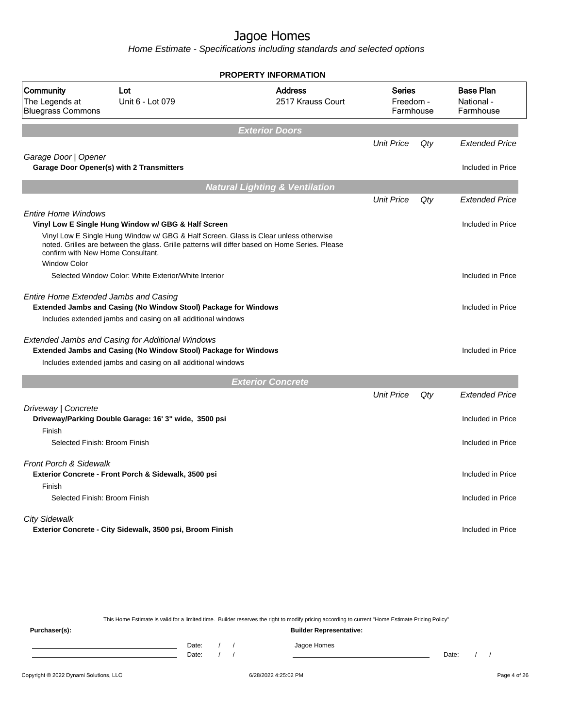Home Estimate - Specifications including standards and selected options

|                                                         |                                                                                                                            | <b>PROPERTY INFORMATION</b>                                                                    |                                         |     |                                             |
|---------------------------------------------------------|----------------------------------------------------------------------------------------------------------------------------|------------------------------------------------------------------------------------------------|-----------------------------------------|-----|---------------------------------------------|
| Community<br>The Legends at<br><b>Bluegrass Commons</b> | Lot<br>Unit 6 - Lot 079                                                                                                    | <b>Address</b><br>2517 Krauss Court                                                            | <b>Series</b><br>Freedom -<br>Farmhouse |     | <b>Base Plan</b><br>National -<br>Farmhouse |
|                                                         |                                                                                                                            | <b>Exterior Doors</b>                                                                          |                                         |     |                                             |
|                                                         |                                                                                                                            |                                                                                                | <b>Unit Price</b>                       | Qty | <b>Extended Price</b>                       |
| Garage Door   Opener                                    | Garage Door Opener(s) with 2 Transmitters                                                                                  |                                                                                                |                                         |     | Included in Price                           |
|                                                         |                                                                                                                            | <b>Natural Lighting &amp; Ventilation</b>                                                      |                                         |     |                                             |
|                                                         |                                                                                                                            |                                                                                                | <b>Unit Price</b>                       | Qty | <b>Extended Price</b>                       |
| <b>Entire Home Windows</b>                              | Vinyl Low E Single Hung Window w/ GBG & Half Screen                                                                        |                                                                                                |                                         |     | Included in Price                           |
| confirm with New Home Consultant.                       | Vinyl Low E Single Hung Window w/ GBG & Half Screen. Glass is Clear unless otherwise                                       | noted. Grilles are between the glass. Grille patterns will differ based on Home Series. Please |                                         |     |                                             |
| <b>Window Color</b>                                     | Selected Window Color: White Exterior/White Interior                                                                       |                                                                                                |                                         |     | Included in Price                           |
| <b>Entire Home Extended Jambs and Casing</b>            | Extended Jambs and Casing (No Window Stool) Package for Windows                                                            |                                                                                                |                                         |     | Included in Price                           |
|                                                         | Includes extended jambs and casing on all additional windows                                                               |                                                                                                |                                         |     |                                             |
|                                                         | <b>Extended Jambs and Casing for Additional Windows</b><br>Extended Jambs and Casing (No Window Stool) Package for Windows |                                                                                                |                                         |     | Included in Price                           |
|                                                         | Includes extended jambs and casing on all additional windows                                                               |                                                                                                |                                         |     |                                             |
|                                                         |                                                                                                                            | <b>Exterior Concrete</b>                                                                       |                                         |     |                                             |
|                                                         |                                                                                                                            |                                                                                                | <b>Unit Price</b>                       | Qty | <b>Extended Price</b>                       |
| Driveway   Concrete                                     |                                                                                                                            |                                                                                                |                                         |     |                                             |
| Finish                                                  | Driveway/Parking Double Garage: 16' 3" wide, 3500 psi                                                                      |                                                                                                |                                         |     | Included in Price                           |
| Selected Finish: Broom Finish                           |                                                                                                                            |                                                                                                |                                         |     | Included in Price                           |
| <b>Front Porch &amp; Sidewalk</b>                       | Exterior Concrete - Front Porch & Sidewalk, 3500 psi                                                                       |                                                                                                |                                         |     | Included in Price                           |
| Finish                                                  |                                                                                                                            |                                                                                                |                                         |     |                                             |
| Selected Finish: Broom Finish                           |                                                                                                                            |                                                                                                |                                         |     | Included in Price                           |
| <b>City Sidewalk</b>                                    | Exterior Concrete - City Sidewalk, 3500 psi, Broom Finish                                                                  |                                                                                                |                                         |     | Included in Price                           |
|                                                         |                                                                                                                            |                                                                                                |                                         |     |                                             |
|                                                         |                                                                                                                            |                                                                                                |                                         |     |                                             |

This Home Estimate is valid for a limited time. Builder reserves the right to modify pricing according to current "Home Estimate Pricing Policy" **Purchaser(s): Builder Representative:** Date: / / Jagoe Homes<br>Date: / / Jagoe Homes Date: / / **Date: / / 2006** Date: / / / Date: / / / Date: / / / 2006 Date: / / / 2006 Date: / / / 2006 Date: / / / 2006 Date: / / / 2007 Date: / / / 2007 Date: / / / 2007 Date: / / / 2007 Date: / / / 2007 Date: / / / 2007 D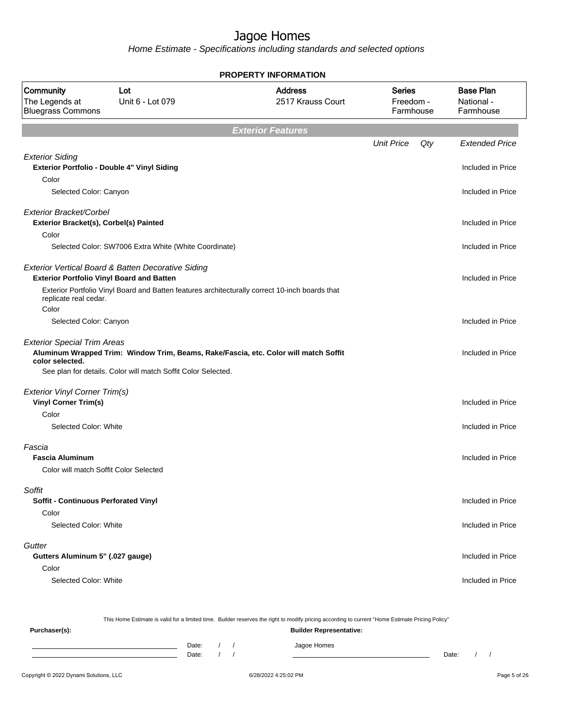Home Estimate - Specifications including standards and selected options

| <b>PROPERTY INFORMATION</b>                                                    |                                                                                                |                                                                                      |                                  |     |                                             |  |
|--------------------------------------------------------------------------------|------------------------------------------------------------------------------------------------|--------------------------------------------------------------------------------------|----------------------------------|-----|---------------------------------------------|--|
| Community<br>The Legends at<br><b>Bluegrass Commons</b>                        | Lot<br>Unit 6 - Lot 079                                                                        | <b>Address</b><br>2517 Krauss Court                                                  | Series<br>Freedom -<br>Farmhouse |     | <b>Base Plan</b><br>National -<br>Farmhouse |  |
|                                                                                |                                                                                                | <b>Exterior Features</b>                                                             |                                  |     |                                             |  |
|                                                                                |                                                                                                |                                                                                      | <b>Unit Price</b>                | Qty | <b>Extended Price</b>                       |  |
| <b>Exterior Siding</b><br>Exterior Portfolio - Double 4" Vinyl Siding<br>Color |                                                                                                |                                                                                      |                                  |     | Included in Price                           |  |
| Selected Color: Canyon                                                         |                                                                                                |                                                                                      |                                  |     | Included in Price                           |  |
| Exterior Bracket/Corbel<br>Exterior Bracket(s), Corbel(s) Painted              |                                                                                                |                                                                                      |                                  |     | Included in Price                           |  |
| Color                                                                          |                                                                                                |                                                                                      |                                  |     |                                             |  |
|                                                                                | Selected Color: SW7006 Extra White (White Coordinate)                                          |                                                                                      |                                  |     | Included in Price                           |  |
| <b>Exterior Portfolio Vinyl Board and Batten</b>                               | Exterior Vertical Board & Batten Decorative Siding                                             |                                                                                      |                                  |     | Included in Price                           |  |
| replicate real cedar.<br>Color                                                 | Exterior Portfolio Vinyl Board and Batten features architecturally correct 10-inch boards that |                                                                                      |                                  |     |                                             |  |
| Selected Color: Canyon                                                         |                                                                                                |                                                                                      |                                  |     | Included in Price                           |  |
| <b>Exterior Special Trim Areas</b><br>color selected.                          | See plan for details. Color will match Soffit Color Selected.                                  | Aluminum Wrapped Trim: Window Trim, Beams, Rake/Fascia, etc. Color will match Soffit |                                  |     | Included in Price                           |  |
| <b>Exterior Vinyl Corner Trim(s)</b>                                           |                                                                                                |                                                                                      |                                  |     |                                             |  |
| <b>Vinyl Corner Trim(s)</b>                                                    |                                                                                                |                                                                                      |                                  |     | Included in Price                           |  |
| Color<br>Selected Color: White                                                 |                                                                                                |                                                                                      |                                  |     | Included in Price                           |  |
| Fascia<br><b>Fascia Aluminum</b>                                               |                                                                                                |                                                                                      |                                  |     | Included in Price                           |  |
| Color will match Soffit Color Selected                                         |                                                                                                |                                                                                      |                                  |     |                                             |  |
| Soffit<br>Soffit - Continuous Perforated Vinyl                                 |                                                                                                |                                                                                      |                                  |     | Included in Price                           |  |
| Color<br>Selected Color: White                                                 |                                                                                                |                                                                                      |                                  |     | Included in Price                           |  |
|                                                                                |                                                                                                |                                                                                      |                                  |     |                                             |  |
| Gutter<br>Gutters Aluminum 5" (.027 gauge)                                     |                                                                                                |                                                                                      |                                  |     | Included in Price                           |  |
| Color                                                                          |                                                                                                |                                                                                      |                                  |     |                                             |  |
| Selected Color: White                                                          |                                                                                                |                                                                                      |                                  |     | Included in Price                           |  |
|                                                                                |                                                                                                |                                                                                      |                                  |     |                                             |  |

This Home Estimate is valid for a limited time. Builder reserves the right to modify pricing according to current "Home Estimate Pricing Policy"

**Purchaser(s): Builder Representative:** Date: / / Jagoe Homes<br>Date: / / Jagoe Homes Date: / / Date: / /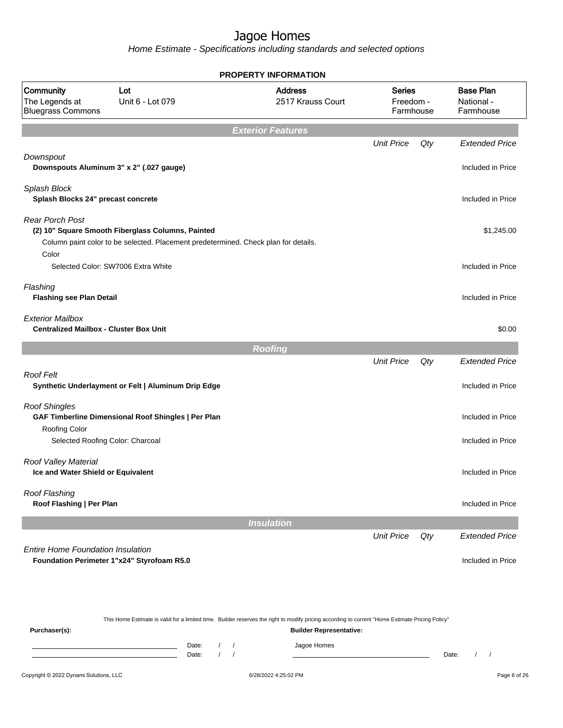|                                                                          |                                                                                                                                          | <b>PROPERTY INFORMATION</b>         |                                         |     |                                             |
|--------------------------------------------------------------------------|------------------------------------------------------------------------------------------------------------------------------------------|-------------------------------------|-----------------------------------------|-----|---------------------------------------------|
| Community<br>The Legends at<br><b>Bluegrass Commons</b>                  | Lot<br>Unit 6 - Lot 079                                                                                                                  | <b>Address</b><br>2517 Krauss Court | <b>Series</b><br>Freedom -<br>Farmhouse |     | <b>Base Plan</b><br>National -<br>Farmhouse |
|                                                                          |                                                                                                                                          | <b>Exterior Features</b>            |                                         |     |                                             |
|                                                                          |                                                                                                                                          |                                     | <b>Unit Price</b>                       | Qty | <b>Extended Price</b>                       |
| Downspout<br>Downspouts Aluminum 3" x 2" (.027 gauge)                    |                                                                                                                                          |                                     |                                         |     | Included in Price                           |
| Splash Block<br>Splash Blocks 24" precast concrete                       |                                                                                                                                          |                                     |                                         |     | Included in Price                           |
| <b>Rear Porch Post</b>                                                   |                                                                                                                                          |                                     |                                         |     |                                             |
| Color                                                                    | (2) 10" Square Smooth Fiberglass Columns, Painted<br>Column paint color to be selected. Placement predetermined. Check plan for details. |                                     |                                         |     | \$1,245.00                                  |
|                                                                          | Selected Color: SW7006 Extra White                                                                                                       |                                     |                                         |     | Included in Price                           |
| Flashing<br><b>Flashing see Plan Detail</b>                              |                                                                                                                                          |                                     |                                         |     | Included in Price                           |
| <b>Exterior Mailbox</b><br><b>Centralized Mailbox - Cluster Box Unit</b> |                                                                                                                                          |                                     |                                         |     | \$0.00                                      |
|                                                                          |                                                                                                                                          | <b>Roofing</b>                      |                                         |     |                                             |
|                                                                          |                                                                                                                                          |                                     | <b>Unit Price</b>                       | Qty | <b>Extended Price</b>                       |
| Roof Felt                                                                | Synthetic Underlayment or Felt   Aluminum Drip Edge                                                                                      |                                     |                                         |     | Included in Price                           |
| <b>Roof Shingles</b>                                                     | GAF Timberline Dimensional Roof Shingles   Per Plan                                                                                      |                                     |                                         |     | Included in Price                           |
| Roofing Color<br>Selected Roofing Color: Charcoal                        |                                                                                                                                          |                                     |                                         |     | Included in Price                           |
| Roof Valley Material<br>Ice and Water Shield or Equivalent               |                                                                                                                                          |                                     |                                         |     | Included in Price                           |
| Roof Flashing<br>Roof Flashing   Per Plan                                |                                                                                                                                          |                                     |                                         |     | Included in Price                           |
|                                                                          |                                                                                                                                          | <b>Insulation</b>                   |                                         |     |                                             |
|                                                                          |                                                                                                                                          |                                     | <b>Unit Price</b>                       | Qty | <b>Extended Price</b>                       |
| <b>Entire Home Foundation Insulation</b>                                 | Foundation Perimeter 1"x24" Styrofoam R5.0                                                                                               |                                     |                                         |     | Included in Price                           |

|               |       |  | This Home Estimate is valid for a limited time. Builder reserves the right to modify pricing according to current "Home Estimate Pricing Policy" |       |  |
|---------------|-------|--|--------------------------------------------------------------------------------------------------------------------------------------------------|-------|--|
| Purchaser(s): |       |  | <b>Builder Representative:</b>                                                                                                                   |       |  |
|               | Date: |  | Jagoe Homes                                                                                                                                      |       |  |
|               | Date: |  |                                                                                                                                                  | Date: |  |
|               |       |  |                                                                                                                                                  |       |  |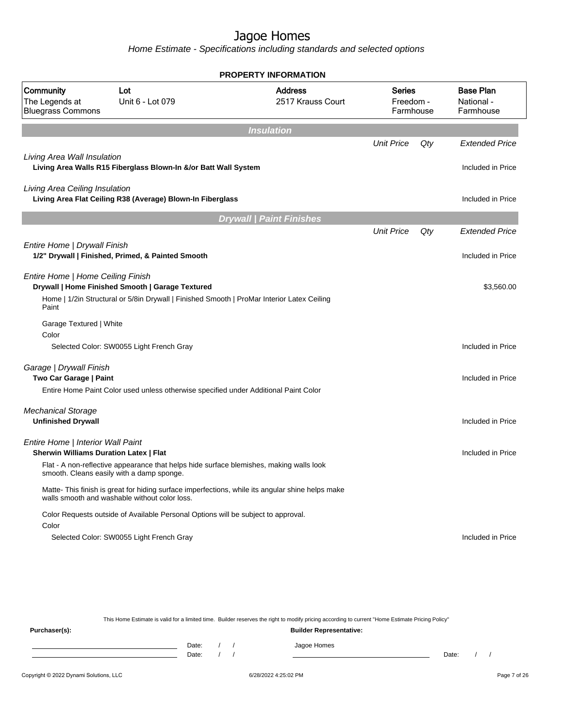Home Estimate - Specifications including standards and selected options

|                                                                                    |                                                                                                                                                   | <b>PROPERTY INFORMATION</b>         |                                         |     |                                             |
|------------------------------------------------------------------------------------|---------------------------------------------------------------------------------------------------------------------------------------------------|-------------------------------------|-----------------------------------------|-----|---------------------------------------------|
| Community<br>The Legends at<br><b>Bluegrass Commons</b>                            | Lot<br>Unit 6 - Lot 079                                                                                                                           | <b>Address</b><br>2517 Krauss Court | <b>Series</b><br>Freedom -<br>Farmhouse |     | <b>Base Plan</b><br>National -<br>Farmhouse |
|                                                                                    |                                                                                                                                                   | <b>Insulation</b>                   |                                         |     |                                             |
| Living Area Wall Insulation                                                        |                                                                                                                                                   |                                     | <b>Unit Price</b>                       | Qty | <b>Extended Price</b>                       |
|                                                                                    | Living Area Walls R15 Fiberglass Blown-In &/or Batt Wall System                                                                                   |                                     |                                         |     | Included in Price                           |
| Living Area Ceiling Insulation                                                     | Living Area Flat Ceiling R38 (Average) Blown-In Fiberglass                                                                                        |                                     |                                         |     | Included in Price                           |
|                                                                                    |                                                                                                                                                   | <b>Drywall   Paint Finishes</b>     |                                         |     |                                             |
|                                                                                    |                                                                                                                                                   |                                     | <b>Unit Price</b>                       | Qty | <b>Extended Price</b>                       |
| Entire Home   Drywall Finish                                                       | 1/2" Drywall   Finished, Primed, & Painted Smooth                                                                                                 |                                     |                                         |     | Included in Price                           |
| Entire Home   Home Ceiling Finish<br>Paint                                         | Drywall   Home Finished Smooth   Garage Textured<br>Home   1/2in Structural or 5/8in Drywall   Finished Smooth   ProMar Interior Latex Ceiling    |                                     |                                         |     | \$3,560.00                                  |
| Garage Textured   White                                                            |                                                                                                                                                   |                                     |                                         |     |                                             |
| Color                                                                              | Selected Color: SW0055 Light French Gray                                                                                                          |                                     |                                         |     | Included in Price                           |
| Garage   Drywall Finish<br>Two Car Garage   Paint                                  |                                                                                                                                                   |                                     |                                         |     | Included in Price                           |
|                                                                                    | Entire Home Paint Color used unless otherwise specified under Additional Paint Color                                                              |                                     |                                         |     |                                             |
| <b>Mechanical Storage</b><br><b>Unfinished Drywall</b>                             |                                                                                                                                                   |                                     |                                         |     | Included in Price                           |
| Entire Home   Interior Wall Paint<br><b>Sherwin Williams Duration Latex   Flat</b> |                                                                                                                                                   |                                     |                                         |     | Included in Price                           |
|                                                                                    | Flat - A non-reflective appearance that helps hide surface blemishes, making walls look<br>smooth. Cleans easily with a damp sponge.              |                                     |                                         |     |                                             |
|                                                                                    | Matte- This finish is great for hiding surface imperfections, while its angular shine helps make<br>walls smooth and washable without color loss. |                                     |                                         |     |                                             |
| Color                                                                              | Color Requests outside of Available Personal Options will be subject to approval.                                                                 |                                     |                                         |     |                                             |
|                                                                                    | Selected Color: SW0055 Light French Gray                                                                                                          |                                     |                                         |     | Included in Price                           |
|                                                                                    |                                                                                                                                                   |                                     |                                         |     |                                             |

This Home Estimate is valid for a limited time. Builder reserves the right to modify pricing according to current "Home Estimate Pricing Policy" **Purchaser(s): Builder Representative:** Date: / / Jagoe Homes<br>Date: / / Jagoe Homes Date: / / Date: / /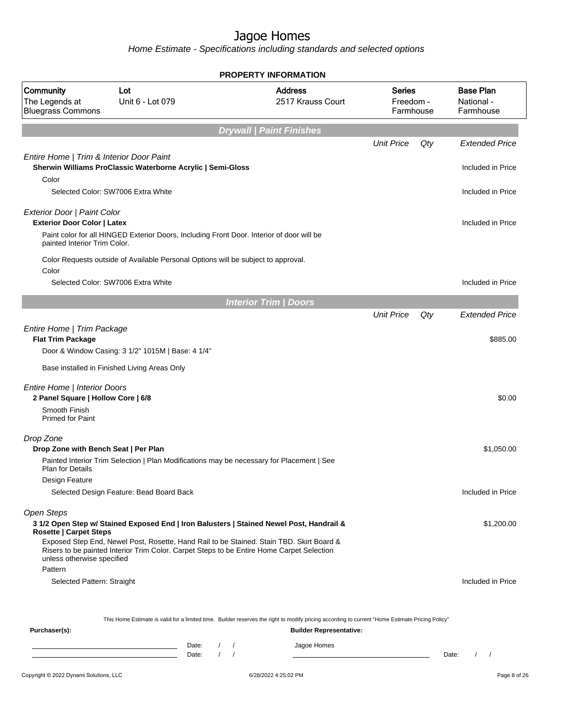|                                                                                                                |                                                                                                                                                                                                                                                                                   |          |                          | PROPERTY INFORMATION                |                                         |     |                                             |
|----------------------------------------------------------------------------------------------------------------|-----------------------------------------------------------------------------------------------------------------------------------------------------------------------------------------------------------------------------------------------------------------------------------|----------|--------------------------|-------------------------------------|-----------------------------------------|-----|---------------------------------------------|
| Community<br>The Legends at<br><b>Bluegrass Commons</b>                                                        | Lot<br>Unit 6 - Lot 079                                                                                                                                                                                                                                                           |          |                          | <b>Address</b><br>2517 Krauss Court | <b>Series</b><br>Freedom -<br>Farmhouse |     | <b>Base Plan</b><br>National -<br>Farmhouse |
|                                                                                                                |                                                                                                                                                                                                                                                                                   |          |                          | <b>Drywall   Paint Finishes</b>     |                                         |     |                                             |
|                                                                                                                |                                                                                                                                                                                                                                                                                   |          |                          |                                     | <b>Unit Price</b>                       | Qty | <b>Extended Price</b>                       |
| Entire Home   Trim & Interior Door Paint<br>Color                                                              | Sherwin Williams ProClassic Waterborne Acrylic   Semi-Gloss<br>Selected Color: SW7006 Extra White                                                                                                                                                                                 |          |                          |                                     |                                         |     | Included in Price<br>Included in Price      |
|                                                                                                                |                                                                                                                                                                                                                                                                                   |          |                          |                                     |                                         |     |                                             |
| Exterior Door   Paint Color<br><b>Exterior Door Color   Latex</b><br>painted Interior Trim Color.              | Paint color for all HINGED Exterior Doors, Including Front Door. Interior of door will be                                                                                                                                                                                         |          |                          |                                     |                                         |     | Included in Price                           |
|                                                                                                                | Color Requests outside of Available Personal Options will be subject to approval.                                                                                                                                                                                                 |          |                          |                                     |                                         |     |                                             |
| Color                                                                                                          | Selected Color: SW7006 Extra White                                                                                                                                                                                                                                                |          |                          |                                     |                                         |     | Included in Price                           |
|                                                                                                                |                                                                                                                                                                                                                                                                                   |          |                          |                                     |                                         |     |                                             |
|                                                                                                                |                                                                                                                                                                                                                                                                                   |          |                          | <b>Interior Trim / Doors</b>        | <b>Unit Price</b>                       | Qty | <b>Extended Price</b>                       |
| Entire Home   Trim Package<br><b>Flat Trim Package</b>                                                         | Door & Window Casing: 3 1/2" 1015M   Base: 4 1/4"                                                                                                                                                                                                                                 |          |                          |                                     |                                         |     | \$885.00                                    |
|                                                                                                                | Base installed in Finished Living Areas Only                                                                                                                                                                                                                                      |          |                          |                                     |                                         |     |                                             |
| Entire Home   Interior Doors<br>2 Panel Square   Hollow Core   6/8<br>Smooth Finish<br><b>Primed for Paint</b> |                                                                                                                                                                                                                                                                                   |          |                          |                                     |                                         |     | \$0.00                                      |
| Drop Zone<br>Drop Zone with Bench Seat   Per Plan<br><b>Plan for Details</b>                                   | Painted Interior Trim Selection   Plan Modifications may be necessary for Placement   See                                                                                                                                                                                         |          |                          |                                     |                                         |     | \$1,050.00                                  |
| Design Feature                                                                                                 | Selected Design Feature: Bead Board Back                                                                                                                                                                                                                                          |          |                          |                                     |                                         |     | Included in Price                           |
| <b>Open Steps</b><br><b>Rosette   Carpet Steps</b><br>unless otherwise specified                               | 3 1/2 Open Step w/ Stained Exposed End   Iron Balusters   Stained Newel Post, Handrail &<br>Exposed Step End, Newel Post, Rosette, Hand Rail to be Stained. Stain TBD. Skirt Board &<br>Risers to be painted Interior Trim Color. Carpet Steps to be Entire Home Carpet Selection |          |                          |                                     |                                         |     | \$1,200.00                                  |
| Pattern<br>Selected Pattern: Straight                                                                          |                                                                                                                                                                                                                                                                                   |          |                          |                                     |                                         |     | Included in Price                           |
|                                                                                                                | This Home Estimate is valid for a limited time. Builder reserves the right to modify pricing according to current "Home Estimate Pricing Policy"                                                                                                                                  |          |                          |                                     |                                         |     |                                             |
| Purchaser(s):                                                                                                  |                                                                                                                                                                                                                                                                                   |          |                          | <b>Builder Representative:</b>      |                                         |     |                                             |
|                                                                                                                | Date:<br><u> 1989 - Johann Barn, mars ann an t-Amhain an t-Amhain an t-Amhain an t-Amhain an t-Amhain an t-Amhain an t-Amh</u><br>Date:<br>the control of the control of the control of the control of the control of                                                             | $\prime$ | $\sqrt{2}$<br>$\sqrt{ }$ | Jagoe Homes                         |                                         |     | $\frac{1}{2}$<br>Date:                      |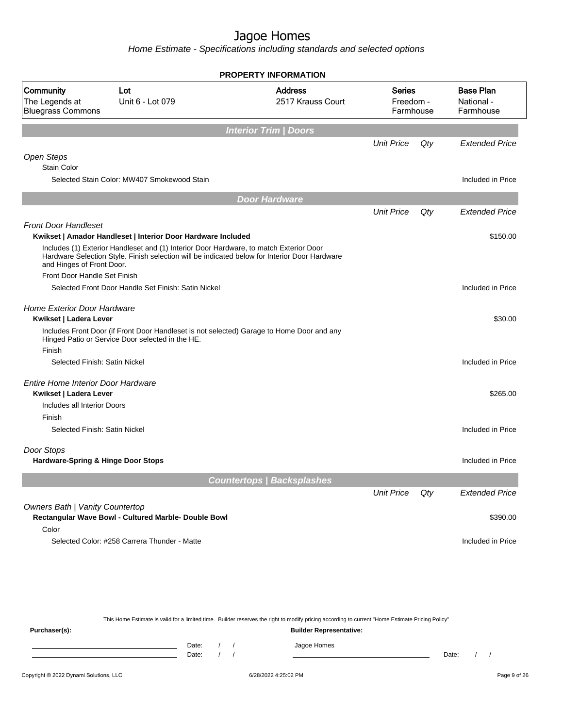Home Estimate - Specifications including standards and selected options

|                                                              |                                                                                                                                                                                         | <b>PROPERTY INFORMATION</b>         |                                         |     |                                             |
|--------------------------------------------------------------|-----------------------------------------------------------------------------------------------------------------------------------------------------------------------------------------|-------------------------------------|-----------------------------------------|-----|---------------------------------------------|
| Community<br>The Legends at<br><b>Bluegrass Commons</b>      | Lot<br>Unit 6 - Lot 079                                                                                                                                                                 | <b>Address</b><br>2517 Krauss Court | <b>Series</b><br>Freedom -<br>Farmhouse |     | <b>Base Plan</b><br>National -<br>Farmhouse |
|                                                              |                                                                                                                                                                                         | <b>Interior Trim / Doors</b>        |                                         |     |                                             |
|                                                              |                                                                                                                                                                                         |                                     | <b>Unit Price</b>                       | Qty | <b>Extended Price</b>                       |
| Open Steps<br><b>Stain Color</b>                             |                                                                                                                                                                                         |                                     |                                         |     |                                             |
|                                                              | Selected Stain Color: MW407 Smokewood Stain                                                                                                                                             |                                     |                                         |     | Included in Price                           |
|                                                              |                                                                                                                                                                                         | <b>Door Hardware</b>                |                                         |     |                                             |
|                                                              |                                                                                                                                                                                         |                                     | <b>Unit Price</b>                       | Qty | <b>Extended Price</b>                       |
| <b>Front Door Handleset</b>                                  |                                                                                                                                                                                         |                                     |                                         |     |                                             |
|                                                              | Kwikset   Amador Handleset   Interior Door Hardware Included                                                                                                                            |                                     |                                         |     | \$150.00                                    |
| and Hinges of Front Door.                                    | Includes (1) Exterior Handleset and (1) Interior Door Hardware, to match Exterior Door<br>Hardware Selection Style. Finish selection will be indicated below for Interior Door Hardware |                                     |                                         |     |                                             |
| Front Door Handle Set Finish                                 |                                                                                                                                                                                         |                                     |                                         |     |                                             |
|                                                              | Selected Front Door Handle Set Finish: Satin Nickel                                                                                                                                     |                                     |                                         |     | Included in Price                           |
| <b>Home Exterior Door Hardware</b><br>Kwikset   Ladera Lever |                                                                                                                                                                                         |                                     |                                         |     | \$30.00                                     |
| Finish                                                       | Includes Front Door (if Front Door Handleset is not selected) Garage to Home Door and any<br>Hinged Patio or Service Door selected in the HE.                                           |                                     |                                         |     |                                             |
| Selected Finish: Satin Nickel                                |                                                                                                                                                                                         |                                     |                                         |     | Included in Price                           |
| Entire Home Interior Door Hardware<br>Kwikset   Ladera Lever |                                                                                                                                                                                         |                                     |                                         |     | \$265.00                                    |
| Includes all Interior Doors                                  |                                                                                                                                                                                         |                                     |                                         |     |                                             |
| Finish                                                       |                                                                                                                                                                                         |                                     |                                         |     |                                             |
| Selected Finish: Satin Nickel                                |                                                                                                                                                                                         |                                     |                                         |     | Included in Price                           |
| Door Stops                                                   |                                                                                                                                                                                         |                                     |                                         |     |                                             |
| Hardware-Spring & Hinge Door Stops                           |                                                                                                                                                                                         |                                     |                                         |     | Included in Price                           |
|                                                              |                                                                                                                                                                                         | <b>Countertops   Backsplashes</b>   |                                         |     |                                             |
|                                                              |                                                                                                                                                                                         |                                     | <b>Unit Price</b>                       | Qty | <b>Extended Price</b>                       |
| Owners Bath   Vanity Countertop                              |                                                                                                                                                                                         |                                     |                                         |     |                                             |
|                                                              | Rectangular Wave Bowl - Cultured Marble- Double Bowl                                                                                                                                    |                                     |                                         |     | \$390.00                                    |
|                                                              |                                                                                                                                                                                         |                                     |                                         |     |                                             |
| Color                                                        |                                                                                                                                                                                         |                                     |                                         |     |                                             |

This Home Estimate is valid for a limited time. Builder reserves the right to modify pricing according to current "Home Estimate Pricing Policy"

**Purchaser(s): Builder Representative:** Date: / / Jagoe Homes<br>Date: / / Jagoe Homes Date: / / Date: / /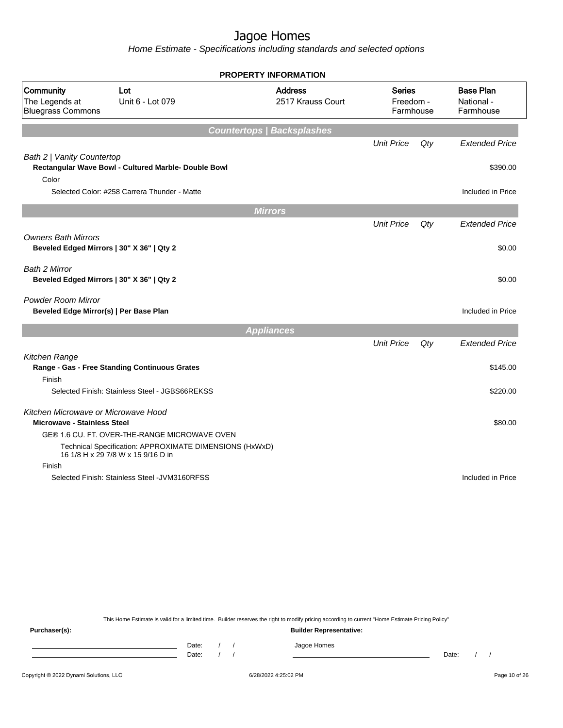Home Estimate - Specifications including standards and selected options

| <b>PROPERTY INFORMATION</b>                                                                                               |                                         |        |                                             |
|---------------------------------------------------------------------------------------------------------------------------|-----------------------------------------|--------|---------------------------------------------|
| <b>Address</b><br>Community<br>Lot<br>Unit 6 - Lot 079<br>2517 Krauss Court<br>The Legends at<br><b>Bluegrass Commons</b> | <b>Series</b><br>Freedom -<br>Farmhouse |        | <b>Base Plan</b><br>National -<br>Farmhouse |
| <b>Countertops   Backsplashes</b>                                                                                         |                                         |        |                                             |
|                                                                                                                           | <b>Unit Price</b>                       | $Q$ ty | <b>Extended Price</b>                       |
| Bath 2   Vanity Countertop<br>Rectangular Wave Bowl - Cultured Marble- Double Bowl<br>Color                               |                                         |        | \$390.00                                    |
| Selected Color: #258 Carrera Thunder - Matte                                                                              |                                         |        | Included in Price                           |
|                                                                                                                           |                                         |        |                                             |
| <b>Mirrors</b>                                                                                                            |                                         |        |                                             |
|                                                                                                                           | <b>Unit Price</b>                       | Qty    | <b>Extended Price</b>                       |
| <b>Owners Bath Mirrors</b><br>Beveled Edged Mirrors   30" X 36"   Qty 2                                                   |                                         |        | \$0.00                                      |
| Bath 2 Mirror<br>Beveled Edged Mirrors   30" X 36"   Qty 2                                                                |                                         |        | \$0.00                                      |
| Powder Room Mirror<br>Beveled Edge Mirror(s)   Per Base Plan                                                              |                                         |        | Included in Price                           |
| <b>Appliances</b>                                                                                                         |                                         |        |                                             |
|                                                                                                                           | <b>Unit Price</b>                       | Qty    | <b>Extended Price</b>                       |
| Kitchen Range                                                                                                             |                                         |        |                                             |
| Range - Gas - Free Standing Continuous Grates                                                                             |                                         |        | \$145.00                                    |
| Finish                                                                                                                    |                                         |        |                                             |
| Selected Finish: Stainless Steel - JGBS66REKSS                                                                            |                                         |        | \$220.00                                    |
| Kitchen Microwave or Microwave Hood<br><b>Microwave - Stainless Steel</b>                                                 |                                         |        | \$80.00                                     |
| GE® 1.6 CU. FT. OVER-THE-RANGE MICROWAVE OVEN                                                                             |                                         |        |                                             |
| Technical Specification: APPROXIMATE DIMENSIONS (HxWxD)<br>16 1/8 H x 29 7/8 W x 15 9/16 D in                             |                                         |        |                                             |
| Finish                                                                                                                    |                                         |        |                                             |
| Selected Finish: Stainless Steel - JVM3160RFSS                                                                            |                                         |        | Included in Price                           |

This Home Estimate is valid for a limited time. Builder reserves the right to modify pricing according to current "Home Estimate Pricing Policy"

**Purchaser(s): Builder Representative:** Date: / / Jagoe Homes<br>Date: / / Jagoe Homes Date: / / Date: / /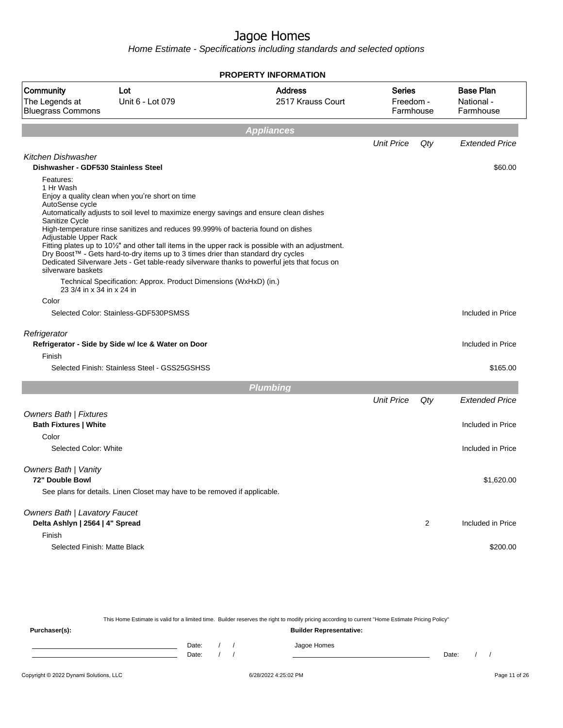Home Estimate - Specifications including standards and selected options

|                                                                                                                                                  |                                                                                                                                                                                                                                                                                                                                                                                                                                                                                                                                                                                                                                                                 | <b>PROPERTY INFORMATION</b>         |                                         |                         |                                             |
|--------------------------------------------------------------------------------------------------------------------------------------------------|-----------------------------------------------------------------------------------------------------------------------------------------------------------------------------------------------------------------------------------------------------------------------------------------------------------------------------------------------------------------------------------------------------------------------------------------------------------------------------------------------------------------------------------------------------------------------------------------------------------------------------------------------------------------|-------------------------------------|-----------------------------------------|-------------------------|---------------------------------------------|
| Community<br>The Legends at<br><b>Bluegrass Commons</b>                                                                                          | Lot<br>Unit 6 - Lot 079                                                                                                                                                                                                                                                                                                                                                                                                                                                                                                                                                                                                                                         | <b>Address</b><br>2517 Krauss Court | <b>Series</b><br>Freedom -<br>Farmhouse |                         | <b>Base Plan</b><br>National -<br>Farmhouse |
|                                                                                                                                                  |                                                                                                                                                                                                                                                                                                                                                                                                                                                                                                                                                                                                                                                                 | <b>Appliances</b>                   |                                         |                         |                                             |
|                                                                                                                                                  |                                                                                                                                                                                                                                                                                                                                                                                                                                                                                                                                                                                                                                                                 |                                     | <b>Unit Price</b>                       | Qty                     | <b>Extended Price</b>                       |
| Kitchen Dishwasher<br>Dishwasher - GDF530 Stainless Steel                                                                                        |                                                                                                                                                                                                                                                                                                                                                                                                                                                                                                                                                                                                                                                                 |                                     |                                         |                         | \$60.00                                     |
| Features:<br>1 Hr Wash<br>AutoSense cycle<br>Sanitize Cycle<br>Adjustable Upper Rack<br>silverware baskets<br>23 3/4 in x 34 in x 24 in<br>Color | Enjoy a quality clean when you're short on time<br>Automatically adjusts to soil level to maximize energy savings and ensure clean dishes<br>High-temperature rinse sanitizes and reduces 99.999% of bacteria found on dishes<br>Fitting plates up to 10 <sup>1</sup> / <sub>2</sub> " and other tall items in the upper rack is possible with an adjustment.<br>Dry Boost™ - Gets hard-to-dry items up to 3 times drier than standard dry cycles<br>Dedicated Silverware Jets - Get table-ready silverware thanks to powerful jets that focus on<br>Technical Specification: Approx. Product Dimensions (WxHxD) (in.)<br>Selected Color: Stainless-GDF530PSMSS |                                     |                                         |                         | Included in Price                           |
|                                                                                                                                                  |                                                                                                                                                                                                                                                                                                                                                                                                                                                                                                                                                                                                                                                                 |                                     |                                         |                         |                                             |
| Refrigerator                                                                                                                                     | Refrigerator - Side by Side w/ Ice & Water on Door                                                                                                                                                                                                                                                                                                                                                                                                                                                                                                                                                                                                              |                                     |                                         |                         | Included in Price                           |
| Finish                                                                                                                                           |                                                                                                                                                                                                                                                                                                                                                                                                                                                                                                                                                                                                                                                                 |                                     |                                         |                         |                                             |
|                                                                                                                                                  | Selected Finish: Stainless Steel - GSS25GSHSS                                                                                                                                                                                                                                                                                                                                                                                                                                                                                                                                                                                                                   |                                     |                                         |                         | \$165.00                                    |
|                                                                                                                                                  |                                                                                                                                                                                                                                                                                                                                                                                                                                                                                                                                                                                                                                                                 | <b>Plumbing</b>                     |                                         |                         |                                             |
|                                                                                                                                                  |                                                                                                                                                                                                                                                                                                                                                                                                                                                                                                                                                                                                                                                                 |                                     | <b>Unit Price</b>                       | Qty                     | <b>Extended Price</b>                       |
| <b>Owners Bath   Fixtures</b><br><b>Bath Fixtures   White</b><br>Color                                                                           |                                                                                                                                                                                                                                                                                                                                                                                                                                                                                                                                                                                                                                                                 |                                     |                                         |                         | Included in Price                           |
| Selected Color: White                                                                                                                            |                                                                                                                                                                                                                                                                                                                                                                                                                                                                                                                                                                                                                                                                 |                                     |                                         |                         | Included in Price                           |
| Owners Bath   Vanity<br>72" Double Bowl                                                                                                          | See plans for details. Linen Closet may have to be removed if applicable.                                                                                                                                                                                                                                                                                                                                                                                                                                                                                                                                                                                       |                                     |                                         |                         | \$1,620.00                                  |
| Owners Bath   Lavatory Faucet<br>Delta Ashlyn   2564   4" Spread                                                                                 |                                                                                                                                                                                                                                                                                                                                                                                                                                                                                                                                                                                                                                                                 |                                     |                                         | $\overline{\mathbf{c}}$ | Included in Price                           |
| Finish<br>Selected Finish: Matte Black                                                                                                           |                                                                                                                                                                                                                                                                                                                                                                                                                                                                                                                                                                                                                                                                 |                                     |                                         |                         | \$200.00                                    |

This Home Estimate is valid for a limited time. Builder reserves the right to modify pricing according to current "Home Estimate Pricing Policy" **Purchaser(s): Builder Representative:** Date: / / Jagoe Homes<br>Date: / / Jagoe Homes Date: / / **Date: / / 2006** Date: / / / Date: / / / Date: / / / 2006 Date: / / / 2006 Date: / / / 2006 Date: / / / 2006 Date: / / / 2007 Date: / / / 2007 Date: / / / 2007 Date: / / / 2007 Date: / / / 2007 Date: / / / 2007 D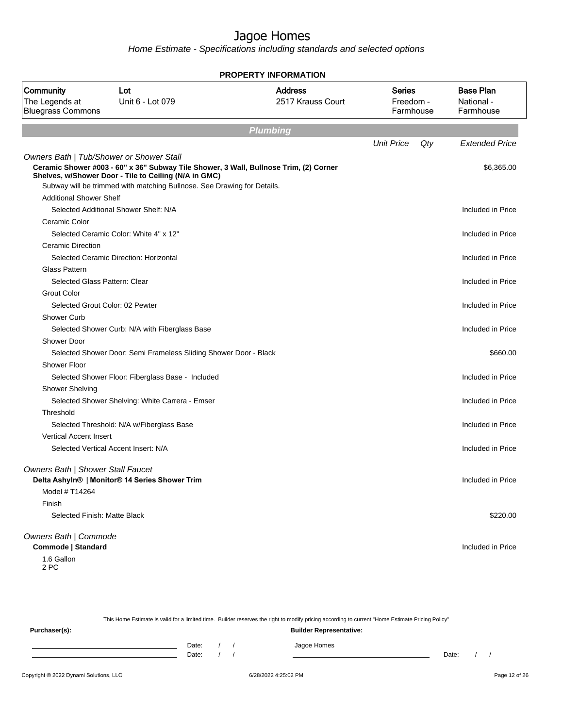Home Estimate - Specifications including standards and selected options

|                                                            |                                                                                                                                                                                                                                                                       | <b>PROPERTY INFORMATION</b>         |                                  |                                             |
|------------------------------------------------------------|-----------------------------------------------------------------------------------------------------------------------------------------------------------------------------------------------------------------------------------------------------------------------|-------------------------------------|----------------------------------|---------------------------------------------|
| Community<br>The Legends at<br><b>Bluegrass Commons</b>    | Lot<br>Unit 6 - Lot 079                                                                                                                                                                                                                                               | <b>Address</b><br>2517 Krauss Court | Series<br>Freedom -<br>Farmhouse | <b>Base Plan</b><br>National -<br>Farmhouse |
|                                                            |                                                                                                                                                                                                                                                                       | <b>Plumbing</b>                     |                                  |                                             |
|                                                            |                                                                                                                                                                                                                                                                       |                                     | <b>Unit Price</b><br>Qty         | <b>Extended Price</b>                       |
|                                                            | Owners Bath   Tub/Shower or Shower Stall<br>Ceramic Shower #003 - 60" x 36" Subway Tile Shower, 3 Wall, Bullnose Trim, (2) Corner<br>Shelves, w/Shower Door - Tile to Ceiling (N/A in GMC)<br>Subway will be trimmed with matching Bullnose. See Drawing for Details. |                                     |                                  | \$6,365.00                                  |
| <b>Additional Shower Shelf</b>                             |                                                                                                                                                                                                                                                                       |                                     |                                  |                                             |
|                                                            | Selected Additional Shower Shelf: N/A                                                                                                                                                                                                                                 |                                     |                                  | Included in Price                           |
| Ceramic Color                                              |                                                                                                                                                                                                                                                                       |                                     |                                  |                                             |
|                                                            | Selected Ceramic Color: White 4" x 12"                                                                                                                                                                                                                                |                                     |                                  | Included in Price                           |
| Ceramic Direction                                          |                                                                                                                                                                                                                                                                       |                                     |                                  |                                             |
|                                                            | Selected Ceramic Direction: Horizontal                                                                                                                                                                                                                                |                                     |                                  | Included in Price                           |
| <b>Glass Pattern</b>                                       |                                                                                                                                                                                                                                                                       |                                     |                                  |                                             |
|                                                            | Selected Glass Pattern: Clear                                                                                                                                                                                                                                         |                                     |                                  | Included in Price                           |
| <b>Grout Color</b>                                         |                                                                                                                                                                                                                                                                       |                                     |                                  |                                             |
|                                                            | Selected Grout Color: 02 Pewter                                                                                                                                                                                                                                       |                                     |                                  | Included in Price                           |
| Shower Curb                                                |                                                                                                                                                                                                                                                                       |                                     |                                  |                                             |
|                                                            | Selected Shower Curb: N/A with Fiberglass Base                                                                                                                                                                                                                        |                                     |                                  | Included in Price                           |
| <b>Shower Door</b>                                         |                                                                                                                                                                                                                                                                       |                                     |                                  |                                             |
|                                                            | Selected Shower Door: Semi Frameless Sliding Shower Door - Black                                                                                                                                                                                                      |                                     |                                  | \$660.00                                    |
| <b>Shower Floor</b>                                        |                                                                                                                                                                                                                                                                       |                                     |                                  |                                             |
|                                                            | Selected Shower Floor: Fiberglass Base - Included                                                                                                                                                                                                                     |                                     |                                  | Included in Price                           |
| <b>Shower Shelving</b>                                     |                                                                                                                                                                                                                                                                       |                                     |                                  |                                             |
|                                                            | Selected Shower Shelving: White Carrera - Emser                                                                                                                                                                                                                       |                                     |                                  | Included in Price                           |
| Threshold                                                  |                                                                                                                                                                                                                                                                       |                                     |                                  |                                             |
|                                                            | Selected Threshold: N/A w/Fiberglass Base                                                                                                                                                                                                                             |                                     |                                  | Included in Price                           |
| <b>Vertical Accent Insert</b>                              |                                                                                                                                                                                                                                                                       |                                     |                                  |                                             |
|                                                            | Selected Vertical Accent Insert: N/A                                                                                                                                                                                                                                  |                                     |                                  | Included in Price                           |
| <b>Owners Bath   Shower Stall Faucet</b><br>Model # T14264 | Delta Ashyln®   Monitor® 14 Series Shower Trim                                                                                                                                                                                                                        |                                     |                                  | Included in Price                           |
| Finish                                                     |                                                                                                                                                                                                                                                                       |                                     |                                  |                                             |
|                                                            | Selected Finish: Matte Black                                                                                                                                                                                                                                          |                                     |                                  | \$220.00                                    |
| Owners Bath   Commode                                      |                                                                                                                                                                                                                                                                       |                                     |                                  |                                             |
| Commode   Standard                                         |                                                                                                                                                                                                                                                                       |                                     |                                  | Included in Price                           |
| 1.6 Gallon<br>2 PC                                         |                                                                                                                                                                                                                                                                       |                                     |                                  |                                             |

This Home Estimate is valid for a limited time. Builder reserves the right to modify pricing according to current "Home Estimate Pricing Policy" **Purchaser(s): Builder Representative:** Date: / / Jagoe Homes<br>Date: / / Jagoe Homes Date: / / **Date: / / 2006** Date: / / / Date: / / /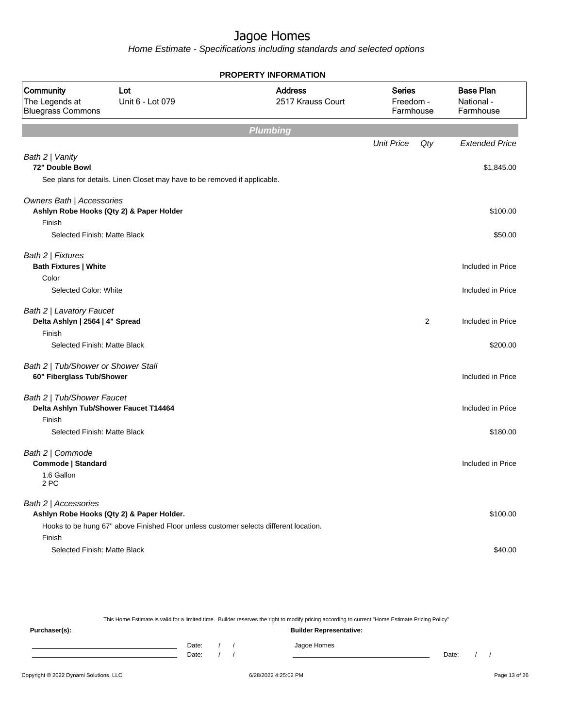Home Estimate - Specifications including standards and selected options

|                                                                  |                                                                                                                                    | <b>PROPERTY INFORMATION</b>         |                                         |     |                                             |
|------------------------------------------------------------------|------------------------------------------------------------------------------------------------------------------------------------|-------------------------------------|-----------------------------------------|-----|---------------------------------------------|
| Community<br>The Legends at<br><b>Bluegrass Commons</b>          | Lot<br>Unit 6 - Lot 079                                                                                                            | <b>Address</b><br>2517 Krauss Court | <b>Series</b><br>Freedom -<br>Farmhouse |     | <b>Base Plan</b><br>National -<br>Farmhouse |
|                                                                  |                                                                                                                                    | <b>Plumbing</b>                     |                                         |     |                                             |
|                                                                  |                                                                                                                                    |                                     | <b>Unit Price</b>                       | Qty | <b>Extended Price</b>                       |
| Bath 2   Vanity<br>72" Double Bowl                               |                                                                                                                                    |                                     |                                         |     | \$1,845.00                                  |
|                                                                  | See plans for details. Linen Closet may have to be removed if applicable.                                                          |                                     |                                         |     |                                             |
| Owners Bath   Accessories                                        | Ashlyn Robe Hooks (Qty 2) & Paper Holder                                                                                           |                                     |                                         |     | \$100.00                                    |
| Finish<br>Selected Finish: Matte Black                           |                                                                                                                                    |                                     |                                         |     | \$50.00                                     |
| Bath 2   Fixtures<br><b>Bath Fixtures   White</b>                |                                                                                                                                    |                                     |                                         |     | Included in Price                           |
| Color<br>Selected Color: White                                   |                                                                                                                                    |                                     |                                         |     | Included in Price                           |
| Bath 2   Lavatory Faucet<br>Delta Ashlyn   2564   4" Spread      |                                                                                                                                    |                                     |                                         | 2   | Included in Price                           |
| Finish<br>Selected Finish: Matte Black                           |                                                                                                                                    |                                     |                                         |     | \$200.00                                    |
| Bath 2   Tub/Shower or Shower Stall<br>60" Fiberglass Tub/Shower |                                                                                                                                    |                                     |                                         |     | Included in Price                           |
| Bath 2   Tub/Shower Faucet<br>Finish                             | Delta Ashlyn Tub/Shower Faucet T14464                                                                                              |                                     |                                         |     | Included in Price                           |
| Selected Finish: Matte Black                                     |                                                                                                                                    |                                     |                                         |     | \$180.00                                    |
| Bath 2   Commode<br><b>Commode   Standard</b>                    |                                                                                                                                    |                                     |                                         |     | Included in Price                           |
| 1.6 Gallon<br>2 PC                                               |                                                                                                                                    |                                     |                                         |     |                                             |
| Bath 2   Accessories                                             | Ashlyn Robe Hooks (Qty 2) & Paper Holder.<br>Hooks to be hung 67" above Finished Floor unless customer selects different location. |                                     |                                         |     | \$100.00                                    |
| Finish<br>Selected Finish: Matte Black                           |                                                                                                                                    |                                     |                                         |     | \$40.00                                     |

This Home Estimate is valid for a limited time. Builder reserves the right to modify pricing according to current "Home Estimate Pricing Policy"

**Purchaser(s): Builder Representative:** Date: / / Jagoe Homes<br>Date: / / Jagoe Homes Date: / / **Date: / / 2006** Date: / / / Date: / / /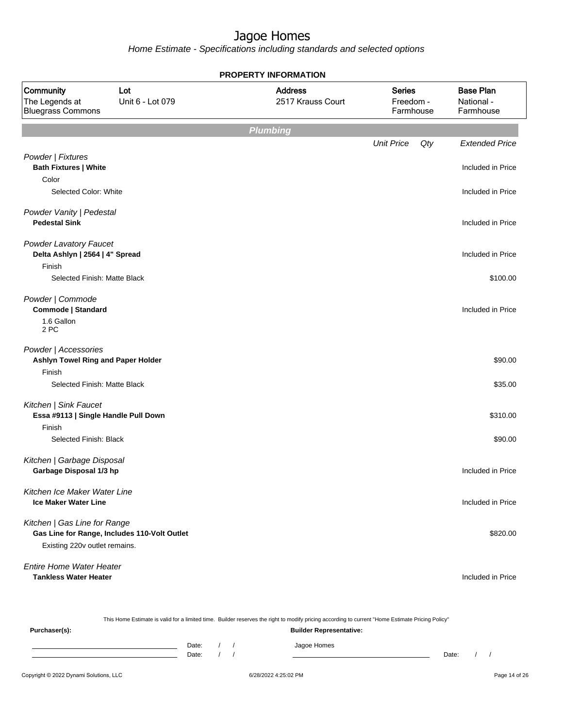|                                                                         |                                              | <b>PROPERTY INFORMATION</b>         |                                         |                                             |
|-------------------------------------------------------------------------|----------------------------------------------|-------------------------------------|-----------------------------------------|---------------------------------------------|
| Community<br>The Legends at<br><b>Bluegrass Commons</b>                 | Lot<br>Unit 6 - Lot 079                      | <b>Address</b><br>2517 Krauss Court | <b>Series</b><br>Freedom -<br>Farmhouse | <b>Base Plan</b><br>National -<br>Farmhouse |
|                                                                         |                                              | <b>Plumbing</b>                     |                                         |                                             |
|                                                                         |                                              |                                     | <b>Unit Price</b><br>Qty                | <b>Extended Price</b>                       |
| Powder   Fixtures<br><b>Bath Fixtures   White</b>                       |                                              |                                     |                                         | Included in Price                           |
| Color<br>Selected Color: White                                          |                                              |                                     |                                         | Included in Price                           |
| Powder Vanity   Pedestal<br><b>Pedestal Sink</b>                        |                                              |                                     |                                         | Included in Price                           |
| <b>Powder Lavatory Faucet</b><br>Delta Ashlyn   2564   4" Spread        |                                              |                                     |                                         | Included in Price                           |
| Finish<br>Selected Finish: Matte Black                                  |                                              |                                     |                                         | \$100.00                                    |
| Powder   Commode<br>Commode   Standard<br>1.6 Gallon<br>2 PC            |                                              |                                     |                                         | Included in Price                           |
| Powder   Accessories<br>Ashlyn Towel Ring and Paper Holder<br>Finish    |                                              |                                     |                                         | \$90.00                                     |
| Selected Finish: Matte Black                                            |                                              |                                     |                                         | \$35.00                                     |
| Kitchen   Sink Faucet<br>Essa #9113   Single Handle Pull Down<br>Finish |                                              |                                     |                                         | \$310.00                                    |
| Selected Finish: Black                                                  |                                              |                                     |                                         | \$90.00                                     |
| Kitchen   Garbage Disposal<br>Garbage Disposal 1/3 hp                   |                                              |                                     |                                         | Included in Price                           |
| Kitchen Ice Maker Water Line<br><b>Ice Maker Water Line</b>             |                                              |                                     |                                         | Included in Price                           |
| Kitchen   Gas Line for Range<br>Existing 220v outlet remains.           | Gas Line for Range, Includes 110-Volt Outlet |                                     |                                         | \$820.00                                    |
| Entire Home Water Heater<br><b>Tankless Water Heater</b>                |                                              |                                     |                                         | Included in Price                           |

|               |       |  | This Home Estimate is valid for a limited time. Builder reserves the right to modify pricing according to current "Home Estimate Pricing Policy" |       |  |
|---------------|-------|--|--------------------------------------------------------------------------------------------------------------------------------------------------|-------|--|
| Purchaser(s): |       |  | <b>Builder Representative:</b>                                                                                                                   |       |  |
|               | Date: |  | Jagoe Homes                                                                                                                                      |       |  |
|               | Date: |  |                                                                                                                                                  | Date: |  |
|               |       |  |                                                                                                                                                  |       |  |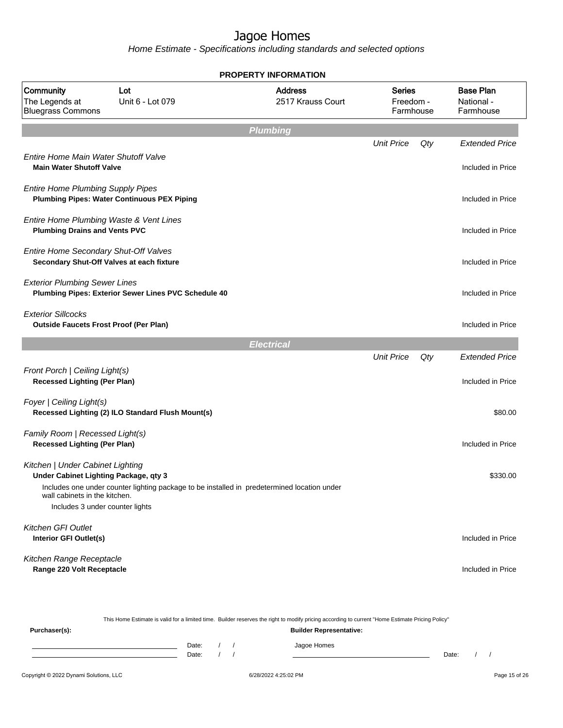|                                                                                                |                         |                   | <b>PROPERTY INFORMATION</b>                                                                                                                      |                                         |     |                                             |
|------------------------------------------------------------------------------------------------|-------------------------|-------------------|--------------------------------------------------------------------------------------------------------------------------------------------------|-----------------------------------------|-----|---------------------------------------------|
| Community<br>The Legends at<br><b>Bluegrass Commons</b>                                        | Lot<br>Unit 6 - Lot 079 |                   | <b>Address</b><br>2517 Krauss Court                                                                                                              | <b>Series</b><br>Freedom -<br>Farmhouse |     | <b>Base Plan</b><br>National -<br>Farmhouse |
|                                                                                                |                         |                   | <b>Plumbing</b>                                                                                                                                  |                                         |     |                                             |
|                                                                                                |                         |                   |                                                                                                                                                  | <b>Unit Price</b>                       | Qty | <b>Extended Price</b>                       |
| Entire Home Main Water Shutoff Valve<br><b>Main Water Shutoff Valve</b>                        |                         |                   |                                                                                                                                                  |                                         |     | Included in Price                           |
| <b>Entire Home Plumbing Supply Pipes</b><br><b>Plumbing Pipes: Water Continuous PEX Piping</b> |                         |                   |                                                                                                                                                  |                                         |     | Included in Price                           |
| Entire Home Plumbing Waste & Vent Lines<br><b>Plumbing Drains and Vents PVC</b>                |                         |                   |                                                                                                                                                  |                                         |     | Included in Price                           |
| Entire Home Secondary Shut-Off Valves<br>Secondary Shut-Off Valves at each fixture             |                         |                   |                                                                                                                                                  |                                         |     | Included in Price                           |
| <b>Exterior Plumbing Sewer Lines</b><br>Plumbing Pipes: Exterior Sewer Lines PVC Schedule 40   |                         |                   |                                                                                                                                                  |                                         |     | Included in Price                           |
| <b>Exterior Sillcocks</b><br><b>Outside Faucets Frost Proof (Per Plan)</b>                     |                         |                   |                                                                                                                                                  |                                         |     | Included in Price                           |
|                                                                                                |                         |                   | <b>Electrical</b>                                                                                                                                |                                         |     |                                             |
|                                                                                                |                         |                   |                                                                                                                                                  | <b>Unit Price</b>                       | Qty | <b>Extended Price</b>                       |
| Front Porch   Ceiling Light(s)<br><b>Recessed Lighting (Per Plan)</b>                          |                         |                   |                                                                                                                                                  |                                         |     | Included in Price                           |
| Foyer   Ceiling Light(s)<br>Recessed Lighting (2) ILO Standard Flush Mount(s)                  |                         |                   |                                                                                                                                                  |                                         |     | \$80.00                                     |
| Family Room   Recessed Light(s)<br><b>Recessed Lighting (Per Plan)</b>                         |                         |                   |                                                                                                                                                  |                                         |     | Included in Price                           |
| Kitchen   Under Cabinet Lighting<br>Under Cabinet Lighting Package, qty 3                      |                         |                   |                                                                                                                                                  |                                         |     | \$330.00                                    |
| wall cabinets in the kitchen.<br>Includes 3 under counter lights                               |                         |                   | Includes one under counter lighting package to be installed in predetermined location under                                                      |                                         |     |                                             |
|                                                                                                |                         |                   |                                                                                                                                                  |                                         |     |                                             |
| <b>Kitchen GFI Outlet</b><br>Interior GFI Outlet(s)                                            |                         |                   |                                                                                                                                                  |                                         |     | Included in Price                           |
| Kitchen Range Receptacle<br>Range 220 Volt Receptacle                                          |                         |                   |                                                                                                                                                  |                                         |     | Included in Price                           |
|                                                                                                |                         |                   | This Home Estimate is valid for a limited time. Builder reserves the right to modify pricing according to current "Home Estimate Pricing Policy" |                                         |     |                                             |
| Purchaser(s):                                                                                  |                         | Date:<br>$\prime$ | <b>Builder Representative:</b><br>Jagoe Homes                                                                                                    |                                         |     |                                             |
|                                                                                                |                         | Date:             |                                                                                                                                                  |                                         |     | Date:                                       |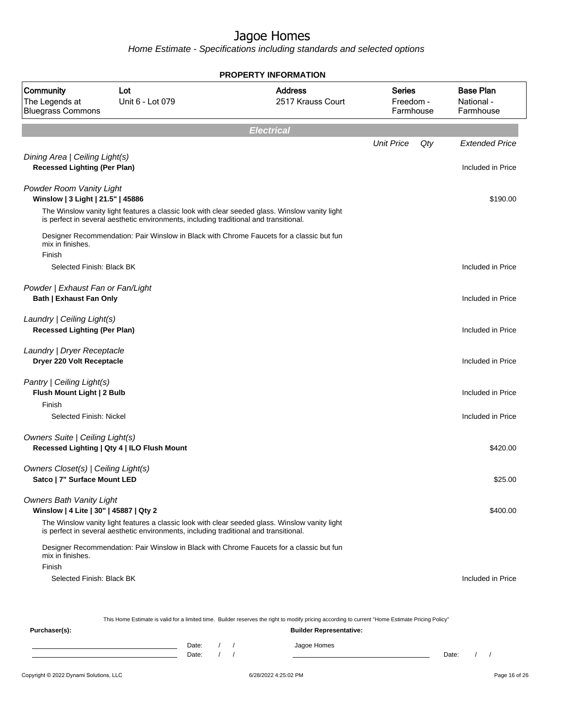Home Estimate - Specifications including standards and selected options

|                                                                           |                                                                                       | <b>PROPERTY INFORMATION</b>                                                                                                                      |                                         |     |                                             |
|---------------------------------------------------------------------------|---------------------------------------------------------------------------------------|--------------------------------------------------------------------------------------------------------------------------------------------------|-----------------------------------------|-----|---------------------------------------------|
| Community<br>The Legends at<br><b>Bluegrass Commons</b>                   | Lot<br>Unit 6 - Lot 079                                                               | <b>Address</b><br>2517 Krauss Court                                                                                                              | <b>Series</b><br>Freedom -<br>Farmhouse |     | <b>Base Plan</b><br>National -<br>Farmhouse |
|                                                                           |                                                                                       | <b>Electrical</b>                                                                                                                                |                                         |     |                                             |
|                                                                           |                                                                                       |                                                                                                                                                  | <b>Unit Price</b>                       | Qty | <b>Extended Price</b>                       |
| Dining Area   Ceiling Light(s)<br><b>Recessed Lighting (Per Plan)</b>     |                                                                                       |                                                                                                                                                  |                                         |     | Included in Price                           |
| Powder Room Vanity Light<br>Winslow   3 Light   21.5"   45886             |                                                                                       |                                                                                                                                                  |                                         |     | \$190.00                                    |
|                                                                           | is perfect in several aesthetic environments, including traditional and transitional. | The Winslow vanity light features a classic look with clear seeded glass. Winslow vanity light                                                   |                                         |     |                                             |
| mix in finishes.<br>Finish                                                |                                                                                       | Designer Recommendation: Pair Winslow in Black with Chrome Faucets for a classic but fun                                                         |                                         |     |                                             |
| Selected Finish: Black BK                                                 |                                                                                       |                                                                                                                                                  |                                         |     | Included in Price                           |
| Powder   Exhaust Fan or Fan/Light<br><b>Bath   Exhaust Fan Only</b>       |                                                                                       |                                                                                                                                                  |                                         |     | Included in Price                           |
| Laundry   Ceiling Light(s)<br><b>Recessed Lighting (Per Plan)</b>         |                                                                                       |                                                                                                                                                  |                                         |     | Included in Price                           |
| Laundry   Dryer Receptacle<br>Dryer 220 Volt Receptacle                   |                                                                                       |                                                                                                                                                  |                                         |     | Included in Price                           |
| Pantry   Ceiling Light(s)<br>Flush Mount Light   2 Bulb<br>Finish         |                                                                                       |                                                                                                                                                  |                                         |     | Included in Price                           |
| Selected Finish: Nickel                                                   |                                                                                       |                                                                                                                                                  |                                         |     | Included in Price                           |
| <b>Owners Suite   Ceiling Light(s)</b>                                    | Recessed Lighting   Qty 4   ILO Flush Mount                                           |                                                                                                                                                  |                                         |     | \$420.00                                    |
| Owners Closet(s)   Ceiling Light(s)<br>Satco   7" Surface Mount LED       |                                                                                       |                                                                                                                                                  |                                         |     | \$25.00                                     |
| <b>Owners Bath Vanity Light</b><br>Winslow   4 Lite   30"   45887   Qty 2 |                                                                                       |                                                                                                                                                  |                                         |     | \$400.00                                    |
|                                                                           | is perfect in several aesthetic environments, including traditional and transitional. | The Winslow vanity light features a classic look with clear seeded glass. Winslow vanity light                                                   |                                         |     |                                             |
| mix in finishes.<br>Finish                                                |                                                                                       | Designer Recommendation: Pair Winslow in Black with Chrome Faucets for a classic but fun                                                         |                                         |     |                                             |
| Selected Finish: Black BK                                                 |                                                                                       |                                                                                                                                                  |                                         |     | Included in Price                           |
|                                                                           |                                                                                       | This Home Estimate is valid for a limited time. Builder reserves the right to modify pricing according to current "Home Estimate Pricing Policy" |                                         |     |                                             |

**Purchaser(s): Builder Representative:** Date: / / Jagoe Homes<br>Date: / / Jagoe Homes Date: / / Date: / /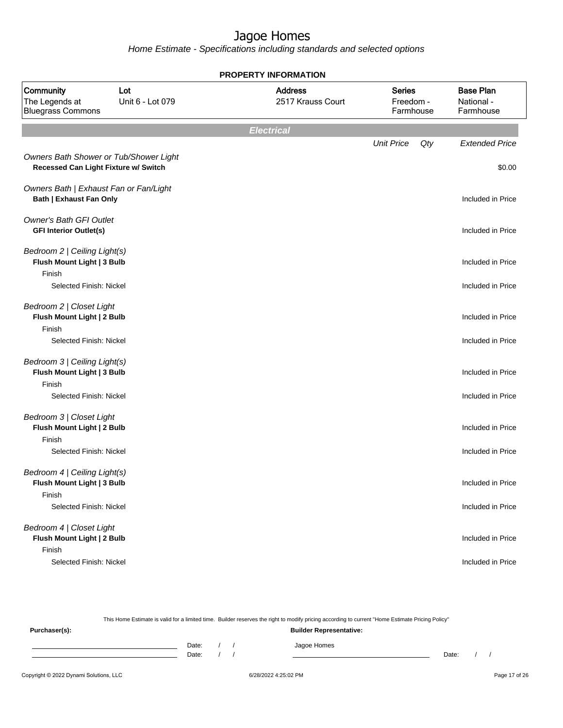Home Estimate - Specifications including standards and selected options

|                                                                          |                                        | <b>PROPERTY INFORMATION</b>         |                                         |                                             |
|--------------------------------------------------------------------------|----------------------------------------|-------------------------------------|-----------------------------------------|---------------------------------------------|
| Community<br>The Legends at<br><b>Bluegrass Commons</b>                  | Lot<br>Unit 6 - Lot 079                | <b>Address</b><br>2517 Krauss Court | <b>Series</b><br>Freedom -<br>Farmhouse | <b>Base Plan</b><br>National -<br>Farmhouse |
|                                                                          |                                        | <b>Electrical</b>                   |                                         |                                             |
| Recessed Can Light Fixture w/ Switch                                     | Owners Bath Shower or Tub/Shower Light |                                     | <b>Unit Price</b><br>Qty                | <b>Extended Price</b><br>\$0.00             |
| Owners Bath   Exhaust Fan or Fan/Light<br><b>Bath   Exhaust Fan Only</b> |                                        |                                     |                                         | Included in Price                           |
| <b>Owner's Bath GFI Outlet</b><br><b>GFI Interior Outlet(s)</b>          |                                        |                                     |                                         | Included in Price                           |
| Bedroom 2   Ceiling Light(s)<br>Flush Mount Light   3 Bulb<br>Finish     |                                        |                                     |                                         | Included in Price                           |
| Selected Finish: Nickel                                                  |                                        |                                     |                                         | Included in Price                           |
| Bedroom 2   Closet Light<br>Flush Mount Light   2 Bulb                   |                                        |                                     |                                         | Included in Price                           |
| Finish<br>Selected Finish: Nickel                                        |                                        |                                     |                                         | Included in Price                           |
| Bedroom 3   Ceiling Light(s)<br>Flush Mount Light   3 Bulb<br>Finish     |                                        |                                     |                                         | Included in Price                           |
| Selected Finish: Nickel                                                  |                                        |                                     |                                         | Included in Price                           |
| Bedroom 3   Closet Light<br>Flush Mount Light   2 Bulb<br>Finish         |                                        |                                     |                                         | Included in Price                           |
| Selected Finish: Nickel                                                  |                                        |                                     |                                         | Included in Price                           |
| Bedroom 4   Ceiling Light(s)<br>Flush Mount Light   3 Bulb<br>Finish     |                                        |                                     |                                         | Included in Price                           |
| Selected Finish: Nickel                                                  |                                        |                                     |                                         | Included in Price                           |
| Bedroom 4   Closet Light<br>Flush Mount Light   2 Bulb<br>Finish         |                                        |                                     |                                         | Included in Price                           |
| Selected Finish: Nickel                                                  |                                        |                                     |                                         | Included in Price                           |

Copyright © 2022 Dynami Solutions, LLC <br>
6/28/2022 4:25:02 PM Page 17 of 26 This Home Estimate is valid for a limited time. Builder reserves the right to modify pricing according to current "Home Estimate Pricing Policy" **Purchaser(s): Builder Representative:** Date: / / Jagoe Homes<br>Date: / / Jagoe Homes Date: / / **Date: / / 2006** Date: / / / Date: / / /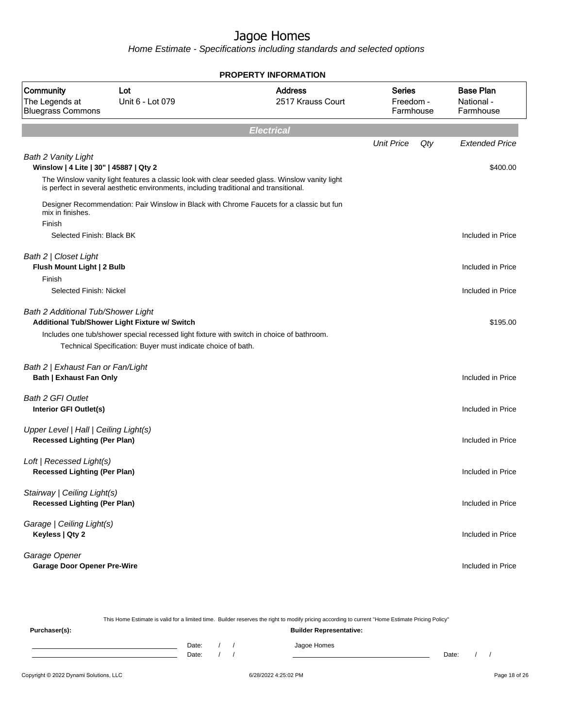|                                                                              |                                                                                                                                                                                                            | <b>PROPERTY INFORMATION</b>         |                                         |                                             |
|------------------------------------------------------------------------------|------------------------------------------------------------------------------------------------------------------------------------------------------------------------------------------------------------|-------------------------------------|-----------------------------------------|---------------------------------------------|
| Community<br>The Legends at<br><b>Bluegrass Commons</b>                      | Lot<br>Unit 6 - Lot 079                                                                                                                                                                                    | <b>Address</b><br>2517 Krauss Court | <b>Series</b><br>Freedom -<br>Farmhouse | <b>Base Plan</b><br>National -<br>Farmhouse |
|                                                                              |                                                                                                                                                                                                            | <b>Electrical</b>                   |                                         |                                             |
|                                                                              |                                                                                                                                                                                                            |                                     | Qty<br><b>Unit Price</b>                | <b>Extended Price</b>                       |
| Bath 2 Vanity Light<br>Winslow   4 Lite   30"   45887   Qty 2                |                                                                                                                                                                                                            |                                     |                                         | \$400.00                                    |
|                                                                              | The Winslow vanity light features a classic look with clear seeded glass. Winslow vanity light<br>is perfect in several aesthetic environments, including traditional and transitional.                    |                                     |                                         |                                             |
| mix in finishes.<br>Finish                                                   | Designer Recommendation: Pair Winslow in Black with Chrome Faucets for a classic but fun                                                                                                                   |                                     |                                         |                                             |
| Selected Finish: Black BK                                                    |                                                                                                                                                                                                            |                                     |                                         | Included in Price                           |
| Bath 2   Closet Light<br>Flush Mount Light   2 Bulb<br>Finish                |                                                                                                                                                                                                            |                                     |                                         | Included in Price                           |
| Selected Finish: Nickel                                                      |                                                                                                                                                                                                            |                                     |                                         | Included in Price                           |
| Bath 2 Additional Tub/Shower Light                                           | Additional Tub/Shower Light Fixture w/ Switch<br>Includes one tub/shower special recessed light fixture with switch in choice of bathroom.<br>Technical Specification: Buyer must indicate choice of bath. |                                     |                                         | \$195.00                                    |
| Bath 2   Exhaust Fan or Fan/Light<br><b>Bath   Exhaust Fan Only</b>          |                                                                                                                                                                                                            |                                     |                                         | Included in Price                           |
| <b>Bath 2 GFI Outlet</b><br>Interior GFI Outlet(s)                           |                                                                                                                                                                                                            |                                     |                                         | Included in Price                           |
| Upper Level   Hall   Ceiling Light(s)<br><b>Recessed Lighting (Per Plan)</b> |                                                                                                                                                                                                            |                                     |                                         | Included in Price                           |
| Loft   Recessed Light(s)<br><b>Recessed Lighting (Per Plan)</b>              |                                                                                                                                                                                                            |                                     |                                         | Included in Price                           |
| Stairway   Ceiling Light(s)<br><b>Recessed Lighting (Per Plan)</b>           |                                                                                                                                                                                                            |                                     |                                         | Included in Price                           |
| Garage   Ceiling Light(s)<br>Keyless   Qty 2                                 |                                                                                                                                                                                                            |                                     |                                         | Included in Price                           |
| Garage Opener<br><b>Garage Door Opener Pre-Wire</b>                          |                                                                                                                                                                                                            |                                     |                                         | Included in Price                           |

|               |       |  | This Home Estimate is valid for a limited time. Builder reserves the right to modify pricing according to current "Home Estimate Pricing Policy" |       |  |
|---------------|-------|--|--------------------------------------------------------------------------------------------------------------------------------------------------|-------|--|
| Purchaser(s): |       |  | <b>Builder Representative:</b>                                                                                                                   |       |  |
|               | Date: |  | Jagoe Homes                                                                                                                                      |       |  |
|               | Date: |  |                                                                                                                                                  | Date: |  |
|               |       |  |                                                                                                                                                  |       |  |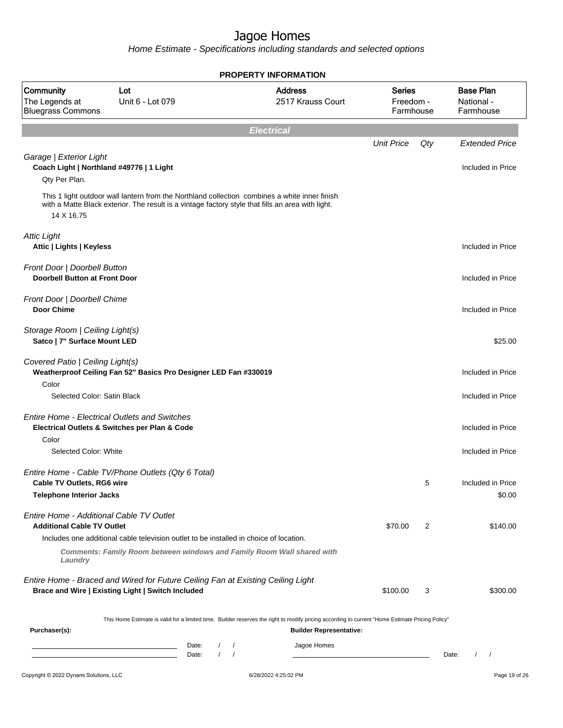|                                                                                      |                                                                                                                                                                                                    | <b>PROPERTY INFORMATION</b> |                                     |                                         |     |                                             |
|--------------------------------------------------------------------------------------|----------------------------------------------------------------------------------------------------------------------------------------------------------------------------------------------------|-----------------------------|-------------------------------------|-----------------------------------------|-----|---------------------------------------------|
| Community<br>The Legends at<br><b>Bluegrass Commons</b>                              | Lot<br>Unit 6 - Lot 079                                                                                                                                                                            |                             | <b>Address</b><br>2517 Krauss Court | <b>Series</b><br>Freedom -<br>Farmhouse |     | <b>Base Plan</b><br>National -<br>Farmhouse |
|                                                                                      |                                                                                                                                                                                                    | <b>Electrical</b>           |                                     |                                         |     |                                             |
|                                                                                      |                                                                                                                                                                                                    |                             |                                     | <b>Unit Price</b>                       | Qty | <b>Extended Price</b>                       |
| Garage   Exterior Light<br>Coach Light   Northland #49776   1 Light<br>Qty Per Plan. |                                                                                                                                                                                                    |                             |                                     |                                         |     | Included in Price                           |
| 14 X 16.75                                                                           | This 1 light outdoor wall lantern from the Northland collection combines a white inner finish<br>with a Matte Black exterior. The result is a vintage factory style that fills an area with light. |                             |                                     |                                         |     |                                             |
| <b>Attic Light</b><br>Attic   Lights   Keyless                                       |                                                                                                                                                                                                    |                             |                                     |                                         |     | Included in Price                           |
| Front Door   Doorbell Button<br><b>Doorbell Button at Front Door</b>                 |                                                                                                                                                                                                    |                             |                                     |                                         |     | Included in Price                           |
| Front Door   Doorbell Chime<br>Door Chime                                            |                                                                                                                                                                                                    |                             |                                     |                                         |     | Included in Price                           |
| Storage Room   Ceiling Light(s)<br>Satco   7" Surface Mount LED                      |                                                                                                                                                                                                    |                             |                                     |                                         |     | \$25.00                                     |
| Covered Patio   Ceiling Light(s)                                                     | Weatherproof Ceiling Fan 52" Basics Pro Designer LED Fan #330019                                                                                                                                   |                             |                                     |                                         |     | Included in Price                           |
| Color<br>Selected Color: Satin Black                                                 |                                                                                                                                                                                                    |                             |                                     |                                         |     | Included in Price                           |
| Color                                                                                | <b>Entire Home - Electrical Outlets and Switches</b><br>Electrical Outlets & Switches per Plan & Code                                                                                              |                             |                                     |                                         |     | Included in Price                           |
| Selected Color: White                                                                |                                                                                                                                                                                                    |                             |                                     |                                         |     | Included in Price                           |
| Cable TV Outlets, RG6 wire                                                           | Entire Home - Cable TV/Phone Outlets (Qty 6 Total)                                                                                                                                                 |                             |                                     |                                         | 5   | Included in Price                           |
| Telephone Interior Jacks                                                             |                                                                                                                                                                                                    |                             |                                     |                                         |     | \$0.00                                      |
| Entire Home - Additional Cable TV Outlet<br><b>Additional Cable TV Outlet</b>        |                                                                                                                                                                                                    |                             |                                     | \$70.00                                 | 2   | \$140.00                                    |
|                                                                                      | Includes one additional cable television outlet to be installed in choice of location.                                                                                                             |                             |                                     |                                         |     |                                             |
| Laundry                                                                              | <b>Comments: Family Room between windows and Family Room Wall shared with</b>                                                                                                                      |                             |                                     |                                         |     |                                             |
|                                                                                      | Entire Home - Braced and Wired for Future Ceiling Fan at Existing Ceiling Light<br>Brace and Wire   Existing Light   Switch Included                                                               |                             |                                     | \$100.00                                | 3   | \$300.00                                    |
|                                                                                      | This Home Estimate is valid for a limited time. Builder reserves the right to modify pricing according to current "Home Estimate Pricing Policy"                                                   |                             |                                     |                                         |     |                                             |
| Purchaser(s):                                                                        |                                                                                                                                                                                                    |                             | <b>Builder Representative:</b>      |                                         |     |                                             |
|                                                                                      | Date:<br>$\sqrt{ }$<br>Date:                                                                                                                                                                       | $\sqrt{ }$                  | Jagoe Homes                         |                                         |     | $\frac{1}{2}$<br>Date:                      |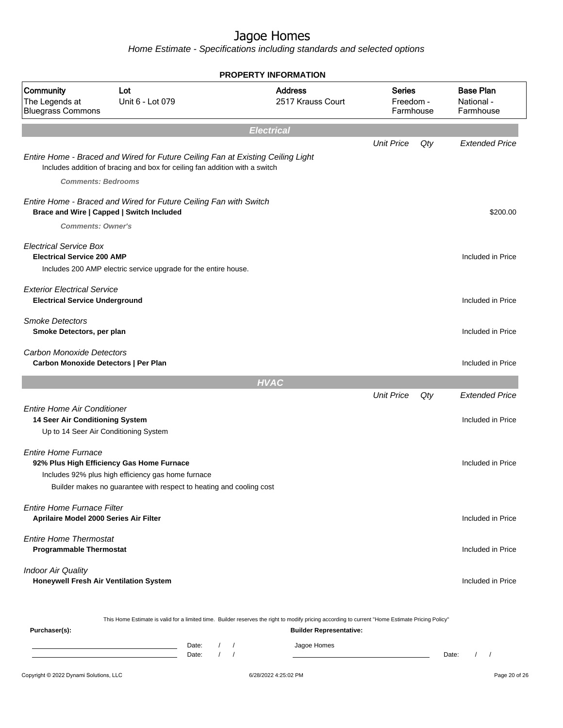Home Estimate - Specifications including standards and selected options

|                                                                             |                                                                                                                                                                        | <b>PROPERTY INFORMATION</b>                                                                                                                                                        |                                         |     |                                             |
|-----------------------------------------------------------------------------|------------------------------------------------------------------------------------------------------------------------------------------------------------------------|------------------------------------------------------------------------------------------------------------------------------------------------------------------------------------|-----------------------------------------|-----|---------------------------------------------|
| Community<br>The Legends at<br><b>Bluegrass Commons</b>                     | Lot<br>Unit 6 - Lot 079                                                                                                                                                | <b>Address</b><br>2517 Krauss Court                                                                                                                                                | <b>Series</b><br>Freedom -<br>Farmhouse |     | <b>Base Plan</b><br>National -<br>Farmhouse |
|                                                                             |                                                                                                                                                                        | <b>Electrical</b>                                                                                                                                                                  |                                         |     |                                             |
|                                                                             |                                                                                                                                                                        |                                                                                                                                                                                    | <b>Unit Price</b>                       | Qty | <b>Extended Price</b>                       |
| <b>Comments: Bedrooms</b>                                                   | Entire Home - Braced and Wired for Future Ceiling Fan at Existing Ceiling Light<br>Includes addition of bracing and box for ceiling fan addition with a switch         |                                                                                                                                                                                    |                                         |     |                                             |
|                                                                             | Entire Home - Braced and Wired for Future Ceiling Fan with Switch<br>Brace and Wire   Capped   Switch Included                                                         |                                                                                                                                                                                    |                                         |     | \$200.00                                    |
| <b>Comments: Owner's</b>                                                    |                                                                                                                                                                        |                                                                                                                                                                                    |                                         |     |                                             |
| <b>Electrical Service Box</b><br><b>Electrical Service 200 AMP</b>          | Includes 200 AMP electric service upgrade for the entire house.                                                                                                        |                                                                                                                                                                                    |                                         |     | Included in Price                           |
| <b>Exterior Electrical Service</b><br><b>Electrical Service Underground</b> |                                                                                                                                                                        |                                                                                                                                                                                    |                                         |     | Included in Price                           |
| <b>Smoke Detectors</b><br>Smoke Detectors, per plan                         |                                                                                                                                                                        |                                                                                                                                                                                    |                                         |     | Included in Price                           |
| Carbon Monoxide Detectors<br>Carbon Monoxide Detectors   Per Plan           |                                                                                                                                                                        |                                                                                                                                                                                    |                                         |     | Included in Price                           |
|                                                                             |                                                                                                                                                                        | <b>HVAC</b>                                                                                                                                                                        |                                         |     |                                             |
|                                                                             |                                                                                                                                                                        |                                                                                                                                                                                    | <b>Unit Price</b>                       | Qty | <b>Extended Price</b>                       |
| <b>Entire Home Air Conditioner</b><br>14 Seer Air Conditioning System       | Up to 14 Seer Air Conditioning System                                                                                                                                  |                                                                                                                                                                                    |                                         |     | Included in Price                           |
| <b>Entire Home Furnace</b>                                                  | 92% Plus High Efficiency Gas Home Furnace<br>Includes 92% plus high efficiency gas home furnace<br>Builder makes no guarantee with respect to heating and cooling cost |                                                                                                                                                                                    |                                         |     | Included in Price                           |
| <b>Entire Home Furnace Filter</b><br>Aprilaire Model 2000 Series Air Filter |                                                                                                                                                                        |                                                                                                                                                                                    |                                         |     | Included in Price                           |
| <b>Entire Home Thermostat</b><br><b>Programmable Thermostat</b>             |                                                                                                                                                                        |                                                                                                                                                                                    |                                         |     | Included in Price                           |
| <b>Indoor Air Quality</b><br>Honeywell Fresh Air Ventilation System         |                                                                                                                                                                        |                                                                                                                                                                                    |                                         |     | Included in Price                           |
| Purchaser(s):                                                               |                                                                                                                                                                        | This Home Estimate is valid for a limited time. Builder reserves the right to modify pricing according to current "Home Estimate Pricing Policy"<br><b>Builder Representative:</b> |                                         |     |                                             |
|                                                                             | Date:                                                                                                                                                                  | Jagoe Homes                                                                                                                                                                        |                                         |     |                                             |

Copyright © 2022 Dynami Solutions, LLC **Company of 28/2022 4:25:02 PM** 6/28/2022 4:25:02 PM Page 20 of 26 Date: / / Date: / /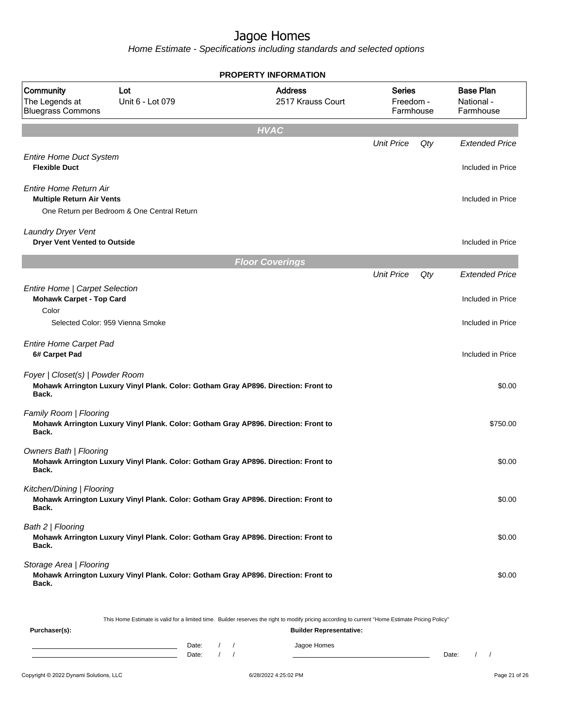Home Estimate - Specifications including standards and selected options

|                                                                            |                                                                                    | <b>PROPERTY INFORMATION</b>         |                                         |     |                                             |
|----------------------------------------------------------------------------|------------------------------------------------------------------------------------|-------------------------------------|-----------------------------------------|-----|---------------------------------------------|
| Community<br>The Legends at<br><b>Bluegrass Commons</b>                    | Lot<br>Unit 6 - Lot 079                                                            | <b>Address</b><br>2517 Krauss Court | <b>Series</b><br>Freedom -<br>Farmhouse |     | <b>Base Plan</b><br>National -<br>Farmhouse |
|                                                                            |                                                                                    | <b>HVAC</b>                         |                                         |     |                                             |
|                                                                            |                                                                                    |                                     | <b>Unit Price</b>                       | Qty | <b>Extended Price</b>                       |
| <b>Entire Home Duct System</b><br><b>Flexible Duct</b>                     |                                                                                    |                                     |                                         |     | Included in Price                           |
| Entire Home Return Air<br><b>Multiple Return Air Vents</b>                 | One Return per Bedroom & One Central Return                                        |                                     |                                         |     | Included in Price                           |
| <b>Laundry Dryer Vent</b><br><b>Dryer Vent Vented to Outside</b>           |                                                                                    |                                     |                                         |     | Included in Price                           |
|                                                                            |                                                                                    | <b>Floor Coverings</b>              |                                         |     |                                             |
|                                                                            |                                                                                    |                                     | <b>Unit Price</b>                       | Qty | <b>Extended Price</b>                       |
| Entire Home   Carpet Selection<br><b>Mohawk Carpet - Top Card</b><br>Color |                                                                                    |                                     |                                         |     | Included in Price                           |
|                                                                            | Selected Color: 959 Vienna Smoke                                                   |                                     |                                         |     | Included in Price                           |
| <b>Entire Home Carpet Pad</b><br>6# Carpet Pad                             |                                                                                    |                                     |                                         |     | Included in Price                           |
| Foyer   Closet(s)   Powder Room<br>Back.                                   | Mohawk Arrington Luxury Vinyl Plank. Color: Gotham Gray AP896. Direction: Front to |                                     |                                         |     | \$0.00                                      |
| Family Room   Flooring<br>Back.                                            | Mohawk Arrington Luxury Vinyl Plank. Color: Gotham Gray AP896. Direction: Front to |                                     |                                         |     | \$750.00                                    |
| Owners Bath   Flooring<br>Back.                                            | Mohawk Arrington Luxury Vinyl Plank. Color: Gotham Gray AP896. Direction: Front to |                                     |                                         |     | \$0.00                                      |
| Kitchen/Dining   Flooring<br>Back.                                         | Mohawk Arrington Luxury Vinyl Plank. Color: Gotham Gray AP896. Direction: Front to |                                     |                                         |     | \$0.00                                      |
| Bath 2   Flooring<br>Back.                                                 | Mohawk Arrington Luxury Vinyl Plank. Color: Gotham Gray AP896. Direction: Front to |                                     |                                         |     | \$0.00                                      |
| Storage Area   Flooring<br>Back.                                           | Mohawk Arrington Luxury Vinyl Plank. Color: Gotham Gray AP896. Direction: Front to |                                     |                                         |     | \$0.00                                      |

This Home Estimate is valid for a limited time. Builder reserves the right to modify pricing according to current "Home Estimate Pricing Policy"

| Purchaser(s): |                |  | <b>Builder Representative:</b> |       |  |
|---------------|----------------|--|--------------------------------|-------|--|
|               | Date:<br>Date: |  | Jagoe Homes                    | Date: |  |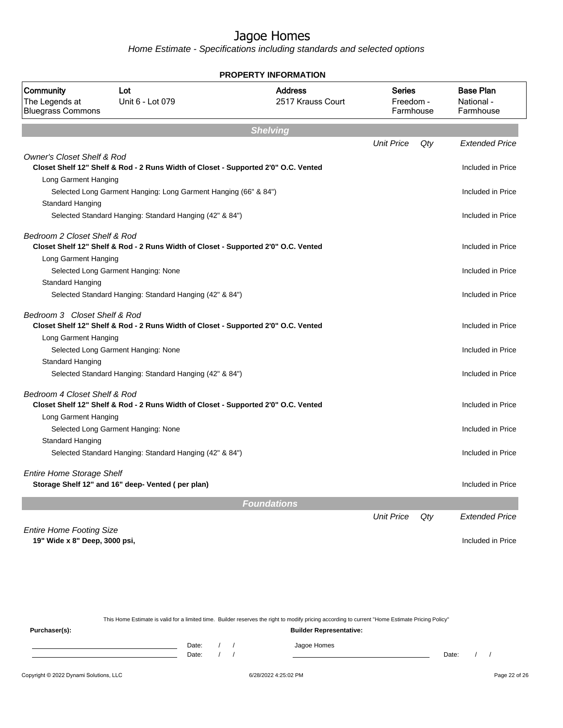Home Estimate - Specifications including standards and selected options

|                                                         |                                                                                    | PROPERTY INFORMATION                |                                  |     |                                             |
|---------------------------------------------------------|------------------------------------------------------------------------------------|-------------------------------------|----------------------------------|-----|---------------------------------------------|
| Community<br>The Legends at<br><b>Bluegrass Commons</b> | Lot<br>Unit 6 - Lot 079                                                            | <b>Address</b><br>2517 Krauss Court | Series<br>Freedom -<br>Farmhouse |     | <b>Base Plan</b><br>National -<br>Farmhouse |
|                                                         |                                                                                    | <b>Shelving</b>                     |                                  |     |                                             |
|                                                         |                                                                                    |                                     | <b>Unit Price</b>                | Qty | <b>Extended Price</b>                       |
| <b>Owner's Closet Shelf &amp; Rod</b>                   | Closet Shelf 12" Shelf & Rod - 2 Runs Width of Closet - Supported 2'0" O.C. Vented |                                     |                                  |     | Included in Price                           |
| Long Garment Hanging                                    |                                                                                    |                                     |                                  |     |                                             |
|                                                         | Selected Long Garment Hanging: Long Garment Hanging (66" & 84")                    |                                     |                                  |     | Included in Price                           |
| Standard Hanging                                        |                                                                                    |                                     |                                  |     |                                             |
|                                                         | Selected Standard Hanging: Standard Hanging (42" & 84")                            |                                     |                                  |     | Included in Price                           |
| Bedroom 2 Closet Shelf & Rod                            |                                                                                    |                                     |                                  |     | Included in Price                           |
| Long Garment Hanging                                    | Closet Shelf 12" Shelf & Rod - 2 Runs Width of Closet - Supported 2'0" O.C. Vented |                                     |                                  |     |                                             |
|                                                         | Selected Long Garment Hanging: None                                                |                                     |                                  |     | Included in Price                           |
| Standard Hanging                                        |                                                                                    |                                     |                                  |     |                                             |
|                                                         | Selected Standard Hanging: Standard Hanging (42" & 84")                            |                                     |                                  |     | Included in Price                           |
| Bedroom 3 Closet Shelf & Rod                            | Closet Shelf 12" Shelf & Rod - 2 Runs Width of Closet - Supported 2'0" O.C. Vented |                                     |                                  |     | Included in Price                           |
| Long Garment Hanging                                    |                                                                                    |                                     |                                  |     |                                             |
|                                                         | Selected Long Garment Hanging: None                                                |                                     |                                  |     | Included in Price                           |
| Standard Hanging                                        |                                                                                    |                                     |                                  |     |                                             |
|                                                         | Selected Standard Hanging: Standard Hanging (42" & 84")                            |                                     |                                  |     | Included in Price                           |
| Bedroom 4 Closet Shelf & Rod                            | Closet Shelf 12" Shelf & Rod - 2 Runs Width of Closet - Supported 2'0" O.C. Vented |                                     |                                  |     | Included in Price                           |
| Long Garment Hanging                                    |                                                                                    |                                     |                                  |     |                                             |
|                                                         | Selected Long Garment Hanging: None                                                |                                     |                                  |     | Included in Price                           |
| Standard Hanging                                        |                                                                                    |                                     |                                  |     |                                             |
|                                                         | Selected Standard Hanging: Standard Hanging (42" & 84")                            |                                     |                                  |     | Included in Price                           |
| <b>Entire Home Storage Shelf</b>                        | Storage Shelf 12" and 16" deep- Vented (per plan)                                  |                                     |                                  |     | Included in Price                           |
|                                                         |                                                                                    | <b>Foundations</b>                  |                                  |     |                                             |
|                                                         |                                                                                    |                                     | <b>Unit Price</b>                | Qty | <b>Extended Price</b>                       |
| <b>Entire Home Footing Size</b>                         |                                                                                    |                                     |                                  |     |                                             |
| 19" Wide x 8" Deep, 3000 psi,                           |                                                                                    |                                     |                                  |     | Included in Price                           |
|                                                         |                                                                                    |                                     |                                  |     |                                             |

This Home Estimate is valid for a limited time. Builder reserves the right to modify pricing according to current "Home Estimate Pricing Policy" **Purchaser(s): Builder Representative:** Date: / / Jagoe Homes<br>Date: / / Jagoe Homes Date: / / **Date: / / 2006** Date: / / / Date: / / /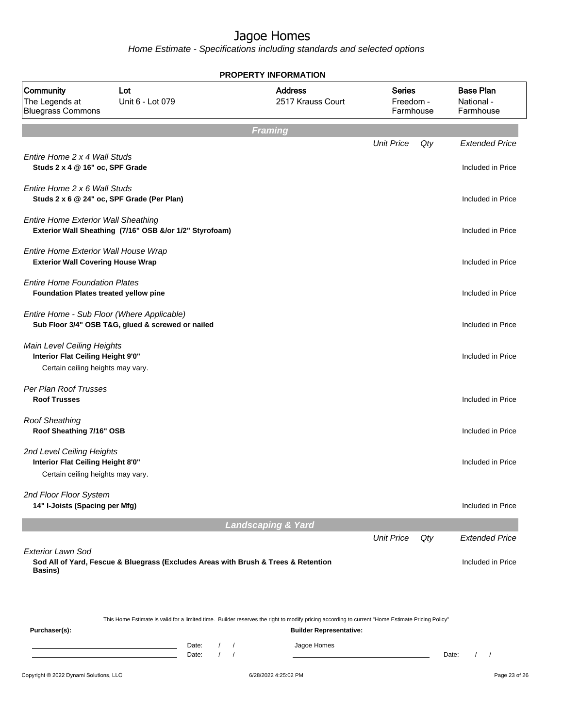|                                                                                                      |                                                         | <b>PROPERTY INFORMATION</b>                                                                                                                                                        |                                         |       |                                             |
|------------------------------------------------------------------------------------------------------|---------------------------------------------------------|------------------------------------------------------------------------------------------------------------------------------------------------------------------------------------|-----------------------------------------|-------|---------------------------------------------|
| Community<br>The Legends at<br><b>Bluegrass Commons</b>                                              | Lot<br>Unit 6 - Lot 079                                 | <b>Address</b><br>2517 Krauss Court                                                                                                                                                | <b>Series</b><br>Freedom -<br>Farmhouse |       | <b>Base Plan</b><br>National -<br>Farmhouse |
|                                                                                                      |                                                         | <b>Framing</b>                                                                                                                                                                     |                                         |       |                                             |
| Entire Home 2 x 4 Wall Studs<br>Studs 2 x 4 @ 16" oc, SPF Grade                                      |                                                         |                                                                                                                                                                                    | <b>Unit Price</b>                       | Qty   | <b>Extended Price</b><br>Included in Price  |
| Entire Home 2 x 6 Wall Studs                                                                         | Studs 2 x 6 @ 24" oc, SPF Grade (Per Plan)              |                                                                                                                                                                                    |                                         |       | Included in Price                           |
| <b>Entire Home Exterior Wall Sheathing</b>                                                           | Exterior Wall Sheathing (7/16" OSB &/or 1/2" Styrofoam) |                                                                                                                                                                                    |                                         |       | Included in Price                           |
| Entire Home Exterior Wall House Wrap<br><b>Exterior Wall Covering House Wrap</b>                     |                                                         |                                                                                                                                                                                    |                                         |       | Included in Price                           |
| <b>Entire Home Foundation Plates</b><br>Foundation Plates treated yellow pine                        |                                                         |                                                                                                                                                                                    |                                         |       | Included in Price                           |
| Entire Home - Sub Floor (Where Applicable)                                                           | Sub Floor 3/4" OSB T&G, glued & screwed or nailed       |                                                                                                                                                                                    |                                         |       | Included in Price                           |
| Main Level Ceiling Heights<br>Interior Flat Ceiling Height 9'0"<br>Certain ceiling heights may vary. |                                                         |                                                                                                                                                                                    |                                         |       | Included in Price                           |
| Per Plan Roof Trusses<br><b>Roof Trusses</b>                                                         |                                                         |                                                                                                                                                                                    |                                         |       | Included in Price                           |
| <b>Roof Sheathing</b><br>Roof Sheathing 7/16" OSB                                                    |                                                         |                                                                                                                                                                                    |                                         |       | Included in Price                           |
| 2nd Level Ceiling Heights<br>Interior Flat Ceiling Height 8'0"<br>Certain ceiling heights may vary.  |                                                         |                                                                                                                                                                                    |                                         |       | Included in Price                           |
| 2nd Floor Floor System<br>14" I-Joists (Spacing per Mfg)                                             |                                                         |                                                                                                                                                                                    |                                         |       | Included in Price                           |
|                                                                                                      |                                                         | <b>Landscaping &amp; Yard</b>                                                                                                                                                      |                                         |       |                                             |
| <b>Exterior Lawn Sod</b>                                                                             |                                                         |                                                                                                                                                                                    | <b>Unit Price</b>                       | Qty   | <b>Extended Price</b>                       |
| Basins)                                                                                              |                                                         | Sod All of Yard, Fescue & Bluegrass (Excludes Areas with Brush & Trees & Retention                                                                                                 |                                         |       | Included in Price                           |
| Purchaser(s):                                                                                        |                                                         | This Home Estimate is valid for a limited time. Builder reserves the right to modify pricing according to current "Home Estimate Pricing Policy"<br><b>Builder Representative:</b> |                                         |       |                                             |
|                                                                                                      | Date:<br>Date:                                          | Jagoe Homes<br>$\prime$<br>$\sqrt{ }$<br>$\sqrt{ }$                                                                                                                                |                                         | Date: | $1 \quad 1$                                 |
| Copyright © 2022 Dynami Solutions, LLC                                                               |                                                         | 6/28/2022 4:25:02 PM                                                                                                                                                               |                                         |       | Page 23 of 26                               |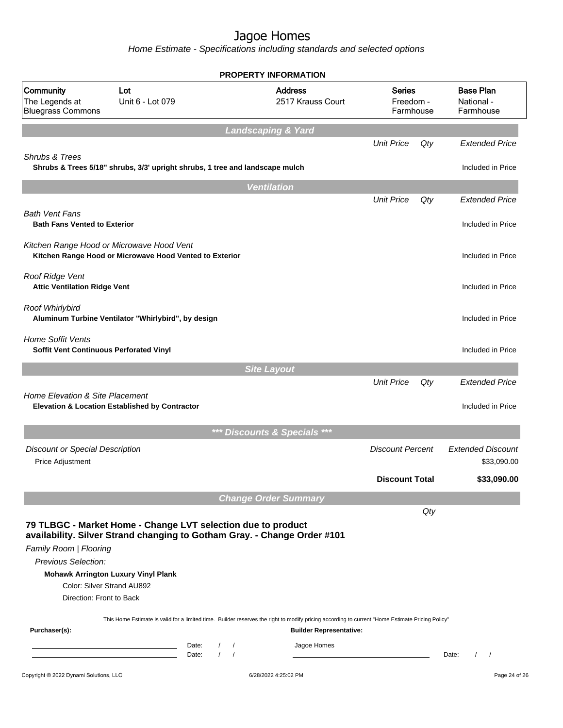|                                                                           |                                                                                                                                                                                                                                                                                                                                                                          | <b>PROPERTY INFORMATION</b>   |                                               |                                         |     |                                             |
|---------------------------------------------------------------------------|--------------------------------------------------------------------------------------------------------------------------------------------------------------------------------------------------------------------------------------------------------------------------------------------------------------------------------------------------------------------------|-------------------------------|-----------------------------------------------|-----------------------------------------|-----|---------------------------------------------|
| Community<br>The Legends at<br><b>Bluegrass Commons</b>                   | Lot<br>Unit 6 - Lot 079                                                                                                                                                                                                                                                                                                                                                  |                               | <b>Address</b><br>2517 Krauss Court           | <b>Series</b><br>Freedom -<br>Farmhouse |     | <b>Base Plan</b><br>National -<br>Farmhouse |
|                                                                           |                                                                                                                                                                                                                                                                                                                                                                          | <b>Landscaping &amp; Yard</b> |                                               |                                         |     |                                             |
|                                                                           |                                                                                                                                                                                                                                                                                                                                                                          |                               |                                               | <b>Unit Price</b>                       | Qty | <b>Extended Price</b>                       |
| Shrubs & Trees                                                            | Shrubs & Trees 5/18" shrubs, 3/3' upright shrubs, 1 tree and landscape mulch                                                                                                                                                                                                                                                                                             |                               |                                               |                                         |     | Included in Price                           |
|                                                                           |                                                                                                                                                                                                                                                                                                                                                                          | <b>Ventilation</b>            |                                               |                                         |     |                                             |
|                                                                           |                                                                                                                                                                                                                                                                                                                                                                          |                               |                                               | <b>Unit Price</b>                       | Qty | <b>Extended Price</b>                       |
| <b>Bath Vent Fans</b><br><b>Bath Fans Vented to Exterior</b>              |                                                                                                                                                                                                                                                                                                                                                                          |                               |                                               |                                         |     | Included in Price                           |
|                                                                           | Kitchen Range Hood or Microwave Hood Vent<br>Kitchen Range Hood or Microwave Hood Vented to Exterior                                                                                                                                                                                                                                                                     |                               |                                               |                                         |     | Included in Price                           |
| Roof Ridge Vent<br><b>Attic Ventilation Ridge Vent</b>                    |                                                                                                                                                                                                                                                                                                                                                                          |                               |                                               |                                         |     | Included in Price                           |
| Roof Whirlybird                                                           | Aluminum Turbine Ventilator "Whirlybird", by design                                                                                                                                                                                                                                                                                                                      |                               |                                               |                                         |     | Included in Price                           |
| <b>Home Soffit Vents</b><br>Soffit Vent Continuous Perforated Vinyl       |                                                                                                                                                                                                                                                                                                                                                                          |                               |                                               |                                         |     | Included in Price                           |
|                                                                           |                                                                                                                                                                                                                                                                                                                                                                          | <b>Site Layout</b>            |                                               |                                         |     |                                             |
| Home Elevation & Site Placement                                           | Elevation & Location Established by Contractor                                                                                                                                                                                                                                                                                                                           |                               |                                               | <b>Unit Price</b>                       | Qty | <b>Extended Price</b><br>Included in Price  |
|                                                                           |                                                                                                                                                                                                                                                                                                                                                                          | *** Discounts & Specials ***  |                                               |                                         |     |                                             |
| <b>Discount or Special Description</b><br>Price Adjustment                |                                                                                                                                                                                                                                                                                                                                                                          |                               |                                               | <b>Discount Percent</b>                 |     | <b>Extended Discount</b><br>\$33,090.00     |
|                                                                           |                                                                                                                                                                                                                                                                                                                                                                          |                               |                                               | <b>Discount Total</b>                   |     | \$33,090.00                                 |
|                                                                           |                                                                                                                                                                                                                                                                                                                                                                          |                               |                                               |                                         |     |                                             |
|                                                                           |                                                                                                                                                                                                                                                                                                                                                                          | <b>Change Order Summary</b>   |                                               |                                         | Qty |                                             |
| Family Room   Flooring<br>Previous Selection:<br>Direction: Front to Back | 79 TLBGC - Market Home - Change LVT selection due to product<br>availability. Silver Strand changing to Gotham Gray. - Change Order #101<br><b>Mohawk Arrington Luxury Vinyl Plank</b><br>Color: Silver Strand AU892<br>This Home Estimate is valid for a limited time. Builder reserves the right to modify pricing according to current "Home Estimate Pricing Policy" |                               |                                               |                                         |     |                                             |
| Purchaser(s):                                                             | Date:                                                                                                                                                                                                                                                                                                                                                                    |                               | <b>Builder Representative:</b><br>Jagoe Homes |                                         |     |                                             |
|                                                                           | Date:                                                                                                                                                                                                                                                                                                                                                                    | $\prime$<br>$\prime$          |                                               |                                         |     | $\prime$<br>Date:<br>$\sqrt{2}$             |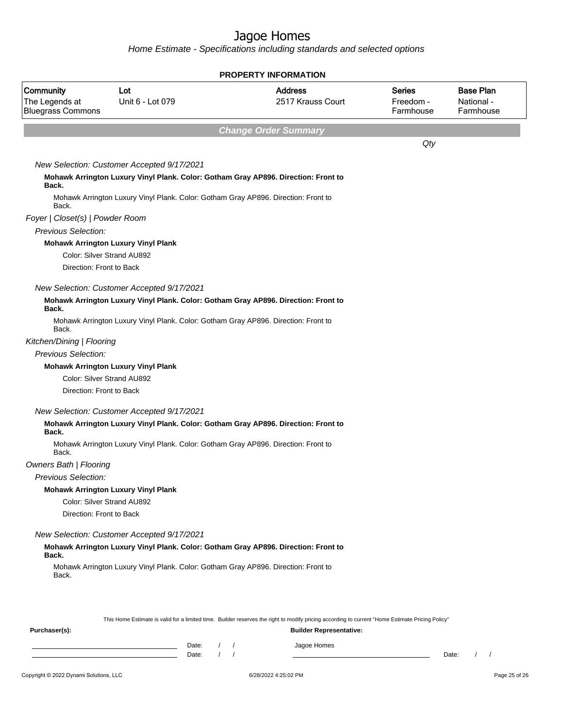|                                                         |                                                                                    | <b>PROPERTY INFORMATION</b>                                                                                                                      |                                  |                                             |
|---------------------------------------------------------|------------------------------------------------------------------------------------|--------------------------------------------------------------------------------------------------------------------------------------------------|----------------------------------|---------------------------------------------|
| Community<br>The Legends at<br><b>Bluegrass Commons</b> | Lot<br>Unit 6 - Lot 079                                                            | <b>Address</b><br>2517 Krauss Court                                                                                                              | Series<br>Freedom -<br>Farmhouse | <b>Base Plan</b><br>National -<br>Farmhouse |
|                                                         |                                                                                    | <b>Change Order Summary</b>                                                                                                                      |                                  |                                             |
|                                                         |                                                                                    |                                                                                                                                                  | $Q$ ty                           |                                             |
|                                                         | New Selection: Customer Accepted 9/17/2021                                         |                                                                                                                                                  |                                  |                                             |
| Back.                                                   |                                                                                    | Mohawk Arrington Luxury Vinyl Plank. Color: Gotham Gray AP896. Direction: Front to                                                               |                                  |                                             |
| Back.                                                   | Mohawk Arrington Luxury Vinyl Plank. Color: Gotham Gray AP896. Direction: Front to |                                                                                                                                                  |                                  |                                             |
| Foyer   Closet(s)   Powder Room                         |                                                                                    |                                                                                                                                                  |                                  |                                             |
| <b>Previous Selection:</b>                              |                                                                                    |                                                                                                                                                  |                                  |                                             |
|                                                         | <b>Mohawk Arrington Luxury Vinyl Plank</b>                                         |                                                                                                                                                  |                                  |                                             |
|                                                         | Color: Silver Strand AU892                                                         |                                                                                                                                                  |                                  |                                             |
| Direction: Front to Back                                |                                                                                    |                                                                                                                                                  |                                  |                                             |
|                                                         | New Selection: Customer Accepted 9/17/2021                                         |                                                                                                                                                  |                                  |                                             |
| Back.                                                   |                                                                                    | Mohawk Arrington Luxury Vinyl Plank. Color: Gotham Gray AP896. Direction: Front to                                                               |                                  |                                             |
| Back.                                                   | Mohawk Arrington Luxury Vinyl Plank. Color: Gotham Gray AP896. Direction: Front to |                                                                                                                                                  |                                  |                                             |
| Kitchen/Dining   Flooring                               |                                                                                    |                                                                                                                                                  |                                  |                                             |
| <b>Previous Selection:</b>                              |                                                                                    |                                                                                                                                                  |                                  |                                             |
|                                                         | <b>Mohawk Arrington Luxury Vinyl Plank</b>                                         |                                                                                                                                                  |                                  |                                             |
|                                                         | Color: Silver Strand AU892                                                         |                                                                                                                                                  |                                  |                                             |
| Direction: Front to Back                                |                                                                                    |                                                                                                                                                  |                                  |                                             |
|                                                         | New Selection: Customer Accepted 9/17/2021                                         |                                                                                                                                                  |                                  |                                             |
| Back.                                                   |                                                                                    | Mohawk Arrington Luxury Vinyl Plank. Color: Gotham Gray AP896. Direction: Front to                                                               |                                  |                                             |
| Back.                                                   | Mohawk Arrington Luxury Vinyl Plank. Color: Gotham Gray AP896. Direction: Front to |                                                                                                                                                  |                                  |                                             |
| <b>Owners Bath   Flooring</b>                           |                                                                                    |                                                                                                                                                  |                                  |                                             |
| Previous Selection:                                     |                                                                                    |                                                                                                                                                  |                                  |                                             |
|                                                         | <b>Mohawk Arrington Luxury Vinyl Plank</b>                                         |                                                                                                                                                  |                                  |                                             |
|                                                         | Color: Silver Strand AU892                                                         |                                                                                                                                                  |                                  |                                             |
| Direction: Front to Back                                |                                                                                    |                                                                                                                                                  |                                  |                                             |
|                                                         | New Selection: Customer Accepted 9/17/2021                                         |                                                                                                                                                  |                                  |                                             |
| Back.                                                   |                                                                                    | Mohawk Arrington Luxury Vinyl Plank. Color: Gotham Gray AP896. Direction: Front to                                                               |                                  |                                             |
| Back.                                                   | Mohawk Arrington Luxury Vinyl Plank. Color: Gotham Gray AP896. Direction: Front to |                                                                                                                                                  |                                  |                                             |
|                                                         |                                                                                    | This Home Estimate is valid for a limited time. Builder reserves the right to modify pricing according to current "Home Estimate Pricing Policy" |                                  |                                             |
| Purchaser(s):                                           |                                                                                    | <b>Builder Representative:</b>                                                                                                                   |                                  |                                             |
|                                                         | Date:                                                                              | Jagoe Homes                                                                                                                                      |                                  |                                             |
|                                                         | $\prime$<br>Date:                                                                  | $\sqrt{ }$                                                                                                                                       |                                  | $\frac{1}{2}$<br>Date:                      |